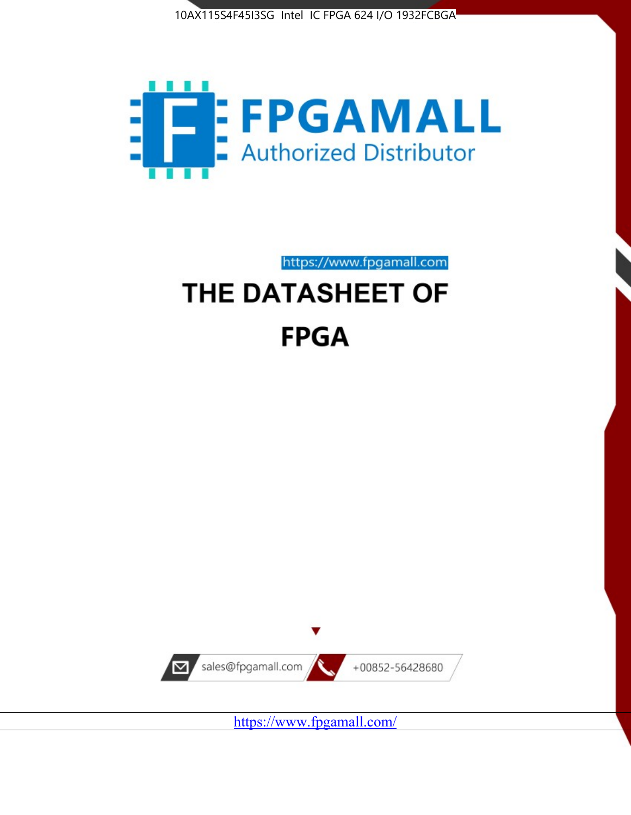



https://www.fpgamall.com

# THE DATASHEET OF **FPGA**



<https://www.fpgamall.com/>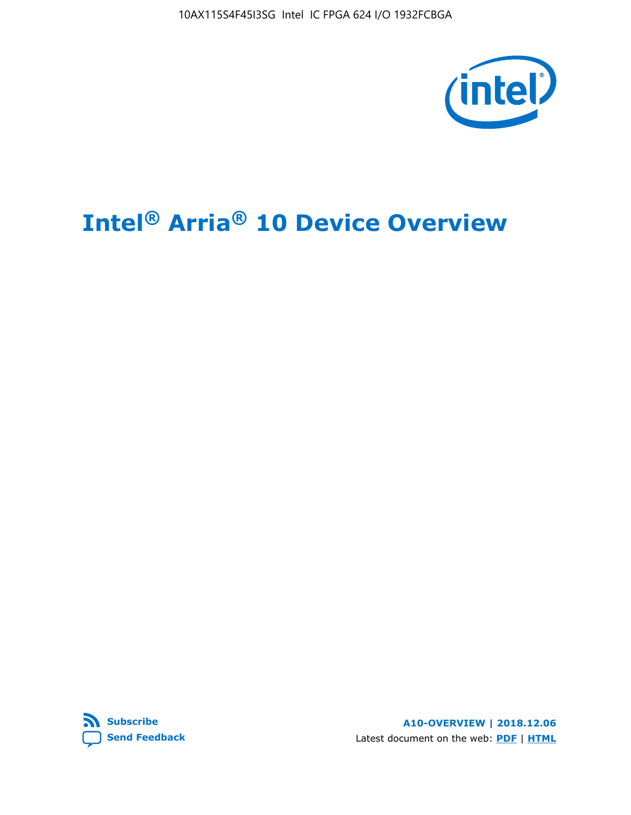10AX115S4F45I3SG Intel IC FPGA 624 I/O 1932FCBGA



# **Intel® Arria® 10 Device Overview**



**A10-OVERVIEW | 2018.12.06** Latest document on the web: **[PDF](https://www.intel.com/content/dam/www/programmable/us/en/pdfs/literature/hb/arria-10/a10_overview.pdf)** | **[HTML](https://www.intel.com/content/www/us/en/programmable/documentation/sam1403480274650.html)**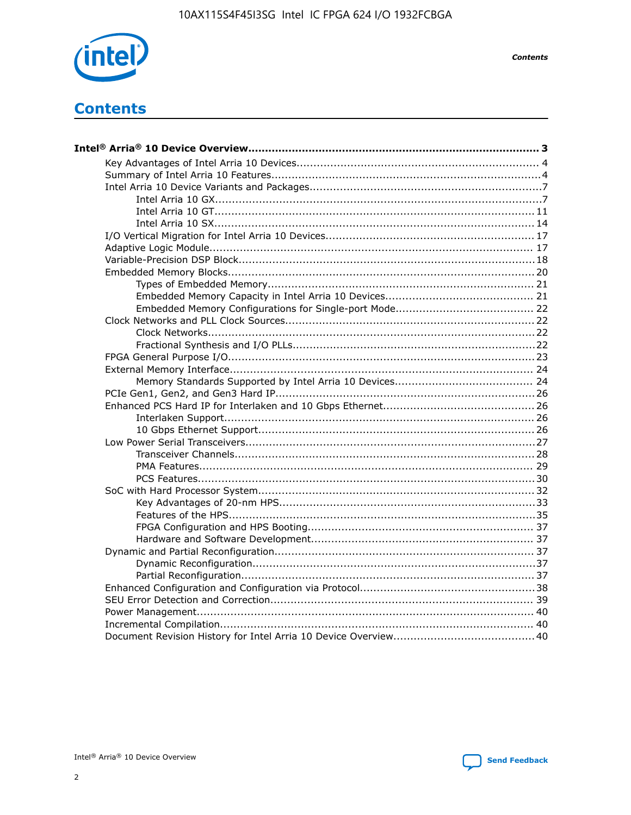

**Contents** 

## **Contents**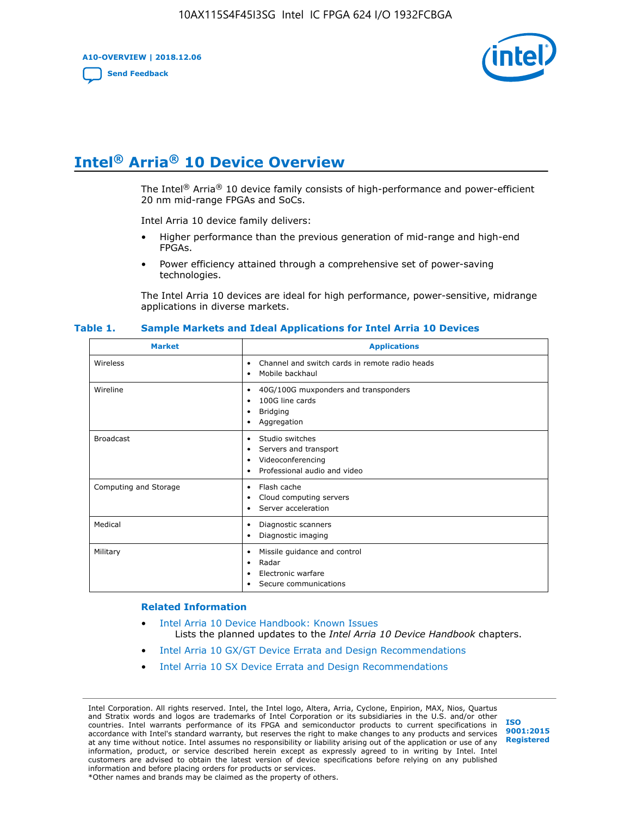**A10-OVERVIEW | 2018.12.06**

**[Send Feedback](mailto:FPGAtechdocfeedback@intel.com?subject=Feedback%20on%20Intel%20Arria%2010%20Device%20Overview%20(A10-OVERVIEW%202018.12.06)&body=We%20appreciate%20your%20feedback.%20In%20your%20comments,%20also%20specify%20the%20page%20number%20or%20paragraph.%20Thank%20you.)**



## **Intel® Arria® 10 Device Overview**

The Intel<sup>®</sup> Arria<sup>®</sup> 10 device family consists of high-performance and power-efficient 20 nm mid-range FPGAs and SoCs.

Intel Arria 10 device family delivers:

- Higher performance than the previous generation of mid-range and high-end FPGAs.
- Power efficiency attained through a comprehensive set of power-saving technologies.

The Intel Arria 10 devices are ideal for high performance, power-sensitive, midrange applications in diverse markets.

| <b>Market</b>         | <b>Applications</b>                                                                                               |
|-----------------------|-------------------------------------------------------------------------------------------------------------------|
| Wireless              | Channel and switch cards in remote radio heads<br>٠<br>Mobile backhaul<br>٠                                       |
| Wireline              | 40G/100G muxponders and transponders<br>٠<br>100G line cards<br>٠<br><b>Bridging</b><br>٠<br>Aggregation<br>٠     |
| <b>Broadcast</b>      | Studio switches<br>٠<br>Servers and transport<br>٠<br>Videoconferencing<br>٠<br>Professional audio and video<br>٠ |
| Computing and Storage | Flash cache<br>٠<br>Cloud computing servers<br>٠<br>Server acceleration<br>٠                                      |
| Medical               | Diagnostic scanners<br>٠<br>Diagnostic imaging<br>٠                                                               |
| Military              | Missile guidance and control<br>٠<br>Radar<br>٠<br>Electronic warfare<br>٠<br>Secure communications<br>٠          |

#### **Table 1. Sample Markets and Ideal Applications for Intel Arria 10 Devices**

#### **Related Information**

- [Intel Arria 10 Device Handbook: Known Issues](http://www.altera.com/support/kdb/solutions/rd07302013_646.html) Lists the planned updates to the *Intel Arria 10 Device Handbook* chapters.
- [Intel Arria 10 GX/GT Device Errata and Design Recommendations](https://www.intel.com/content/www/us/en/programmable/documentation/agz1493851706374.html#yqz1494433888646)
- [Intel Arria 10 SX Device Errata and Design Recommendations](https://www.intel.com/content/www/us/en/programmable/documentation/cru1462832385668.html#cru1462832558642)

Intel Corporation. All rights reserved. Intel, the Intel logo, Altera, Arria, Cyclone, Enpirion, MAX, Nios, Quartus and Stratix words and logos are trademarks of Intel Corporation or its subsidiaries in the U.S. and/or other countries. Intel warrants performance of its FPGA and semiconductor products to current specifications in accordance with Intel's standard warranty, but reserves the right to make changes to any products and services at any time without notice. Intel assumes no responsibility or liability arising out of the application or use of any information, product, or service described herein except as expressly agreed to in writing by Intel. Intel customers are advised to obtain the latest version of device specifications before relying on any published information and before placing orders for products or services. \*Other names and brands may be claimed as the property of others.

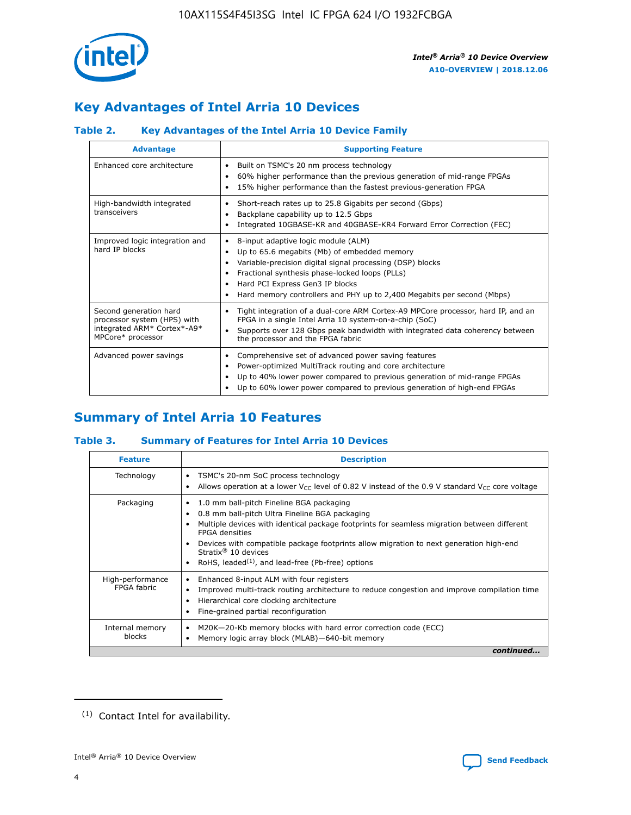

### **Key Advantages of Intel Arria 10 Devices**

### **Table 2. Key Advantages of the Intel Arria 10 Device Family**

| <b>Advantage</b>                                                                                          | <b>Supporting Feature</b>                                                                                                                                                                                                                                                                                                |  |  |  |  |  |
|-----------------------------------------------------------------------------------------------------------|--------------------------------------------------------------------------------------------------------------------------------------------------------------------------------------------------------------------------------------------------------------------------------------------------------------------------|--|--|--|--|--|
| Enhanced core architecture                                                                                | Built on TSMC's 20 nm process technology<br>٠<br>60% higher performance than the previous generation of mid-range FPGAs<br>٠<br>15% higher performance than the fastest previous-generation FPGA<br>٠                                                                                                                    |  |  |  |  |  |
| High-bandwidth integrated<br>transceivers                                                                 | Short-reach rates up to 25.8 Gigabits per second (Gbps)<br>٠<br>Backplane capability up to 12.5 Gbps<br>٠<br>Integrated 10GBASE-KR and 40GBASE-KR4 Forward Error Correction (FEC)<br>٠                                                                                                                                   |  |  |  |  |  |
| Improved logic integration and<br>hard IP blocks                                                          | 8-input adaptive logic module (ALM)<br>٠<br>Up to 65.6 megabits (Mb) of embedded memory<br>٠<br>Variable-precision digital signal processing (DSP) blocks<br>Fractional synthesis phase-locked loops (PLLs)<br>Hard PCI Express Gen3 IP blocks<br>Hard memory controllers and PHY up to 2,400 Megabits per second (Mbps) |  |  |  |  |  |
| Second generation hard<br>processor system (HPS) with<br>integrated ARM* Cortex*-A9*<br>MPCore* processor | Tight integration of a dual-core ARM Cortex-A9 MPCore processor, hard IP, and an<br>٠<br>FPGA in a single Intel Arria 10 system-on-a-chip (SoC)<br>Supports over 128 Gbps peak bandwidth with integrated data coherency between<br>$\bullet$<br>the processor and the FPGA fabric                                        |  |  |  |  |  |
| Advanced power savings                                                                                    | Comprehensive set of advanced power saving features<br>٠<br>Power-optimized MultiTrack routing and core architecture<br>٠<br>Up to 40% lower power compared to previous generation of mid-range FPGAs<br>Up to 60% lower power compared to previous generation of high-end FPGAs                                         |  |  |  |  |  |

### **Summary of Intel Arria 10 Features**

### **Table 3. Summary of Features for Intel Arria 10 Devices**

| <b>Feature</b>                  | <b>Description</b>                                                                                                                                                                                                                                                                                                                                                                                           |
|---------------------------------|--------------------------------------------------------------------------------------------------------------------------------------------------------------------------------------------------------------------------------------------------------------------------------------------------------------------------------------------------------------------------------------------------------------|
| Technology                      | TSMC's 20-nm SoC process technology<br>Allows operation at a lower $V_{\text{CC}}$ level of 0.82 V instead of the 0.9 V standard $V_{\text{CC}}$ core voltage                                                                                                                                                                                                                                                |
| Packaging                       | 1.0 mm ball-pitch Fineline BGA packaging<br>٠<br>0.8 mm ball-pitch Ultra Fineline BGA packaging<br>Multiple devices with identical package footprints for seamless migration between different<br><b>FPGA</b> densities<br>Devices with compatible package footprints allow migration to next generation high-end<br>Stratix <sup>®</sup> 10 devices<br>RoHS, leaded $(1)$ , and lead-free (Pb-free) options |
| High-performance<br>FPGA fabric | Enhanced 8-input ALM with four registers<br>Improved multi-track routing architecture to reduce congestion and improve compilation time<br>Hierarchical core clocking architecture<br>Fine-grained partial reconfiguration                                                                                                                                                                                   |
| Internal memory<br>blocks       | M20K-20-Kb memory blocks with hard error correction code (ECC)<br>Memory logic array block (MLAB)-640-bit memory                                                                                                                                                                                                                                                                                             |
|                                 | continued                                                                                                                                                                                                                                                                                                                                                                                                    |



<sup>(1)</sup> Contact Intel for availability.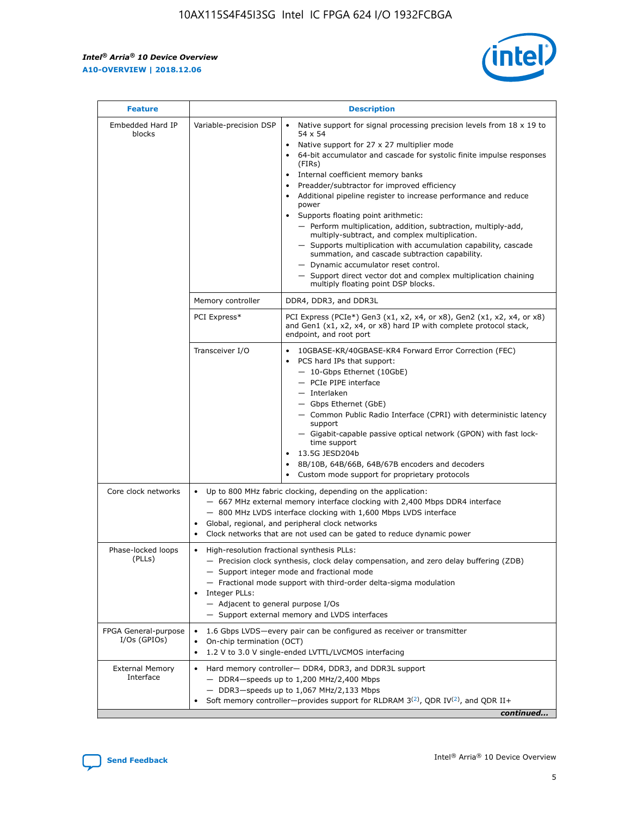r



| <b>Feature</b>                         |                                                                                                                                                                                                                                                                                                                                   | <b>Description</b>                                                                                                                                                                                                                                                                                                                                                                                                                                                                                                                                                                                                                                                                                                                                                                                                                                               |  |  |  |  |  |
|----------------------------------------|-----------------------------------------------------------------------------------------------------------------------------------------------------------------------------------------------------------------------------------------------------------------------------------------------------------------------------------|------------------------------------------------------------------------------------------------------------------------------------------------------------------------------------------------------------------------------------------------------------------------------------------------------------------------------------------------------------------------------------------------------------------------------------------------------------------------------------------------------------------------------------------------------------------------------------------------------------------------------------------------------------------------------------------------------------------------------------------------------------------------------------------------------------------------------------------------------------------|--|--|--|--|--|
| Embedded Hard IP<br>blocks             | Variable-precision DSP                                                                                                                                                                                                                                                                                                            | Native support for signal processing precision levels from $18 \times 19$ to<br>$\bullet$<br>54 x 54<br>Native support for 27 x 27 multiplier mode<br>$\bullet$<br>64-bit accumulator and cascade for systolic finite impulse responses<br>(FIRs)<br>Internal coefficient memory banks<br>$\bullet$<br>Preadder/subtractor for improved efficiency<br>Additional pipeline register to increase performance and reduce<br>power<br>Supports floating point arithmetic:<br>- Perform multiplication, addition, subtraction, multiply-add,<br>multiply-subtract, and complex multiplication.<br>- Supports multiplication with accumulation capability, cascade<br>summation, and cascade subtraction capability.<br>- Dynamic accumulator reset control.<br>- Support direct vector dot and complex multiplication chaining<br>multiply floating point DSP blocks. |  |  |  |  |  |
|                                        | Memory controller                                                                                                                                                                                                                                                                                                                 | DDR4, DDR3, and DDR3L                                                                                                                                                                                                                                                                                                                                                                                                                                                                                                                                                                                                                                                                                                                                                                                                                                            |  |  |  |  |  |
|                                        | PCI Express*                                                                                                                                                                                                                                                                                                                      | PCI Express (PCIe*) Gen3 (x1, x2, x4, or x8), Gen2 (x1, x2, x4, or x8)<br>and Gen1 (x1, x2, x4, or x8) hard IP with complete protocol stack,<br>endpoint, and root port                                                                                                                                                                                                                                                                                                                                                                                                                                                                                                                                                                                                                                                                                          |  |  |  |  |  |
|                                        | Transceiver I/O                                                                                                                                                                                                                                                                                                                   | 10GBASE-KR/40GBASE-KR4 Forward Error Correction (FEC)<br>PCS hard IPs that support:<br>- 10-Gbps Ethernet (10GbE)<br>- PCIe PIPE interface<br>- Interlaken<br>- Gbps Ethernet (GbE)<br>- Common Public Radio Interface (CPRI) with deterministic latency<br>support<br>- Gigabit-capable passive optical network (GPON) with fast lock-<br>time support<br>13.5G JESD204b<br>$\bullet$<br>8B/10B, 64B/66B, 64B/67B encoders and decoders<br>Custom mode support for proprietary protocols                                                                                                                                                                                                                                                                                                                                                                        |  |  |  |  |  |
| Core clock networks                    | $\bullet$                                                                                                                                                                                                                                                                                                                         | Up to 800 MHz fabric clocking, depending on the application:<br>- 667 MHz external memory interface clocking with 2,400 Mbps DDR4 interface<br>- 800 MHz LVDS interface clocking with 1,600 Mbps LVDS interface<br>Global, regional, and peripheral clock networks<br>Clock networks that are not used can be gated to reduce dynamic power                                                                                                                                                                                                                                                                                                                                                                                                                                                                                                                      |  |  |  |  |  |
| Phase-locked loops<br>(PLLs)           | High-resolution fractional synthesis PLLs:<br>$\bullet$<br>Integer PLLs:<br>- Adjacent to general purpose I/Os                                                                                                                                                                                                                    | - Precision clock synthesis, clock delay compensation, and zero delay buffering (ZDB)<br>- Support integer mode and fractional mode<br>- Fractional mode support with third-order delta-sigma modulation<br>- Support external memory and LVDS interfaces                                                                                                                                                                                                                                                                                                                                                                                                                                                                                                                                                                                                        |  |  |  |  |  |
| FPGA General-purpose<br>$I/Os$ (GPIOs) | On-chip termination (OCT)<br>٠<br>$\bullet$                                                                                                                                                                                                                                                                                       | 1.6 Gbps LVDS-every pair can be configured as receiver or transmitter                                                                                                                                                                                                                                                                                                                                                                                                                                                                                                                                                                                                                                                                                                                                                                                            |  |  |  |  |  |
| <b>External Memory</b><br>Interface    | 1.2 V to 3.0 V single-ended LVTTL/LVCMOS interfacing<br>Hard memory controller- DDR4, DDR3, and DDR3L support<br>$\bullet$<br>$-$ DDR4-speeds up to 1,200 MHz/2,400 Mbps<br>- DDR3-speeds up to 1,067 MHz/2,133 Mbps<br>Soft memory controller—provides support for RLDRAM $3^{(2)}$ , QDR IV $^{(2)}$ , and QDR II+<br>continued |                                                                                                                                                                                                                                                                                                                                                                                                                                                                                                                                                                                                                                                                                                                                                                                                                                                                  |  |  |  |  |  |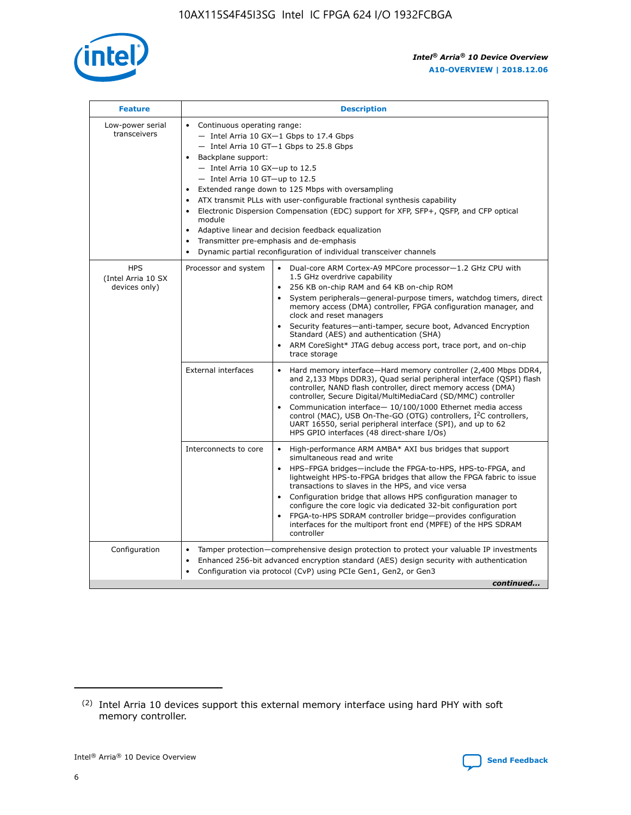

| <b>Feature</b>                                    | <b>Description</b>                                                                                                                                                                                                                                                                                                                                                                                                                                                                                                                                                                                                                                    |
|---------------------------------------------------|-------------------------------------------------------------------------------------------------------------------------------------------------------------------------------------------------------------------------------------------------------------------------------------------------------------------------------------------------------------------------------------------------------------------------------------------------------------------------------------------------------------------------------------------------------------------------------------------------------------------------------------------------------|
| Low-power serial<br>transceivers                  | • Continuous operating range:<br>- Intel Arria 10 GX-1 Gbps to 17.4 Gbps<br>- Intel Arria 10 GT-1 Gbps to 25.8 Gbps<br>Backplane support:<br>$-$ Intel Arria 10 GX-up to 12.5<br>- Intel Arria 10 GT-up to 12.5<br>Extended range down to 125 Mbps with oversampling<br>ATX transmit PLLs with user-configurable fractional synthesis capability<br>Electronic Dispersion Compensation (EDC) support for XFP, SFP+, QSFP, and CFP optical<br>module<br>Adaptive linear and decision feedback equalization<br>$\bullet$<br>Transmitter pre-emphasis and de-emphasis<br>$\bullet$<br>Dynamic partial reconfiguration of individual transceiver channels |
| <b>HPS</b><br>(Intel Arria 10 SX<br>devices only) | • Dual-core ARM Cortex-A9 MPCore processor-1.2 GHz CPU with<br>Processor and system<br>1.5 GHz overdrive capability<br>256 KB on-chip RAM and 64 KB on-chip ROM<br>$\bullet$<br>System peripherals—general-purpose timers, watchdog timers, direct<br>memory access (DMA) controller, FPGA configuration manager, and<br>clock and reset managers<br>Security features—anti-tamper, secure boot, Advanced Encryption<br>$\bullet$<br>Standard (AES) and authentication (SHA)<br>ARM CoreSight* JTAG debug access port, trace port, and on-chip<br>$\bullet$<br>trace storage                                                                          |
|                                                   | <b>External interfaces</b><br>Hard memory interface-Hard memory controller (2,400 Mbps DDR4,<br>$\bullet$<br>and 2,133 Mbps DDR3), Quad serial peripheral interface (QSPI) flash<br>controller, NAND flash controller, direct memory access (DMA)<br>controller, Secure Digital/MultiMediaCard (SD/MMC) controller<br>Communication interface-10/100/1000 Ethernet media access<br>$\bullet$<br>control (MAC), USB On-The-GO (OTG) controllers, I <sup>2</sup> C controllers,<br>UART 16550, serial peripheral interface (SPI), and up to 62<br>HPS GPIO interfaces (48 direct-share I/Os)                                                            |
|                                                   | High-performance ARM AMBA* AXI bus bridges that support<br>Interconnects to core<br>$\bullet$<br>simultaneous read and write<br>HPS-FPGA bridges-include the FPGA-to-HPS, HPS-to-FPGA, and<br>$\bullet$<br>lightweight HPS-to-FPGA bridges that allow the FPGA fabric to issue<br>transactions to slaves in the HPS, and vice versa<br>Configuration bridge that allows HPS configuration manager to<br>configure the core logic via dedicated 32-bit configuration port<br>FPGA-to-HPS SDRAM controller bridge-provides configuration<br>interfaces for the multiport front end (MPFE) of the HPS SDRAM<br>controller                                |
| Configuration                                     | Tamper protection—comprehensive design protection to protect your valuable IP investments<br>Enhanced 256-bit advanced encryption standard (AES) design security with authentication<br>٠<br>Configuration via protocol (CvP) using PCIe Gen1, Gen2, or Gen3<br>continued                                                                                                                                                                                                                                                                                                                                                                             |

<sup>(2)</sup> Intel Arria 10 devices support this external memory interface using hard PHY with soft memory controller.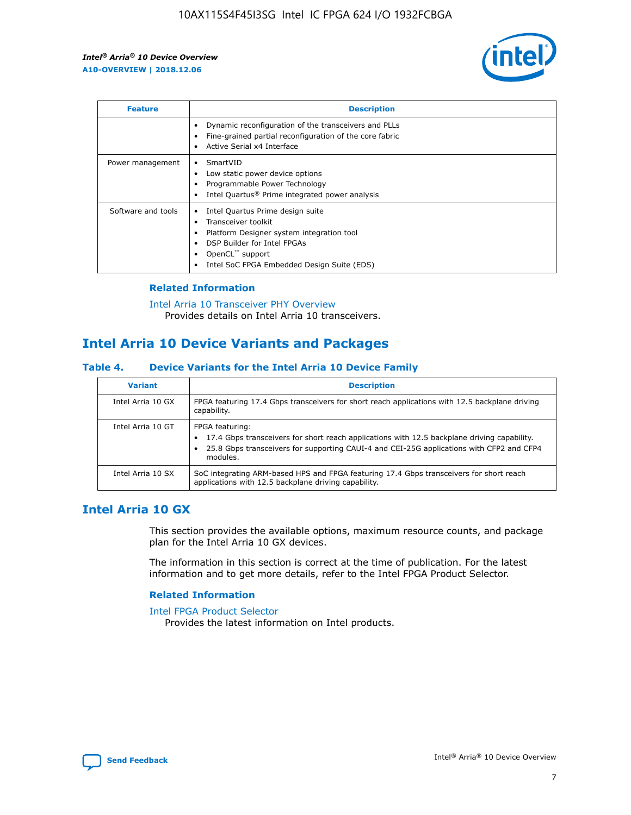

| <b>Feature</b>     | <b>Description</b>                                                                                                                                                                                               |
|--------------------|------------------------------------------------------------------------------------------------------------------------------------------------------------------------------------------------------------------|
|                    | Dynamic reconfiguration of the transceivers and PLLs<br>Fine-grained partial reconfiguration of the core fabric<br>Active Serial x4 Interface<br>$\bullet$                                                       |
| Power management   | SmartVID<br>Low static power device options<br>Programmable Power Technology<br>Intel Quartus <sup>®</sup> Prime integrated power analysis                                                                       |
| Software and tools | Intel Quartus Prime design suite<br>Transceiver toolkit<br>Platform Designer system integration tool<br>DSP Builder for Intel FPGAs<br>OpenCL <sup>™</sup> support<br>Intel SoC FPGA Embedded Design Suite (EDS) |

### **Related Information**

[Intel Arria 10 Transceiver PHY Overview](https://www.intel.com/content/www/us/en/programmable/documentation/nik1398707230472.html#nik1398706768037) Provides details on Intel Arria 10 transceivers.

### **Intel Arria 10 Device Variants and Packages**

#### **Table 4. Device Variants for the Intel Arria 10 Device Family**

| <b>Variant</b>    | <b>Description</b>                                                                                                                                                                                                     |
|-------------------|------------------------------------------------------------------------------------------------------------------------------------------------------------------------------------------------------------------------|
| Intel Arria 10 GX | FPGA featuring 17.4 Gbps transceivers for short reach applications with 12.5 backplane driving<br>capability.                                                                                                          |
| Intel Arria 10 GT | FPGA featuring:<br>17.4 Gbps transceivers for short reach applications with 12.5 backplane driving capability.<br>25.8 Gbps transceivers for supporting CAUI-4 and CEI-25G applications with CFP2 and CFP4<br>modules. |
| Intel Arria 10 SX | SoC integrating ARM-based HPS and FPGA featuring 17.4 Gbps transceivers for short reach<br>applications with 12.5 backplane driving capability.                                                                        |

### **Intel Arria 10 GX**

This section provides the available options, maximum resource counts, and package plan for the Intel Arria 10 GX devices.

The information in this section is correct at the time of publication. For the latest information and to get more details, refer to the Intel FPGA Product Selector.

#### **Related Information**

#### [Intel FPGA Product Selector](http://www.altera.com/products/selector/psg-selector.html) Provides the latest information on Intel products.

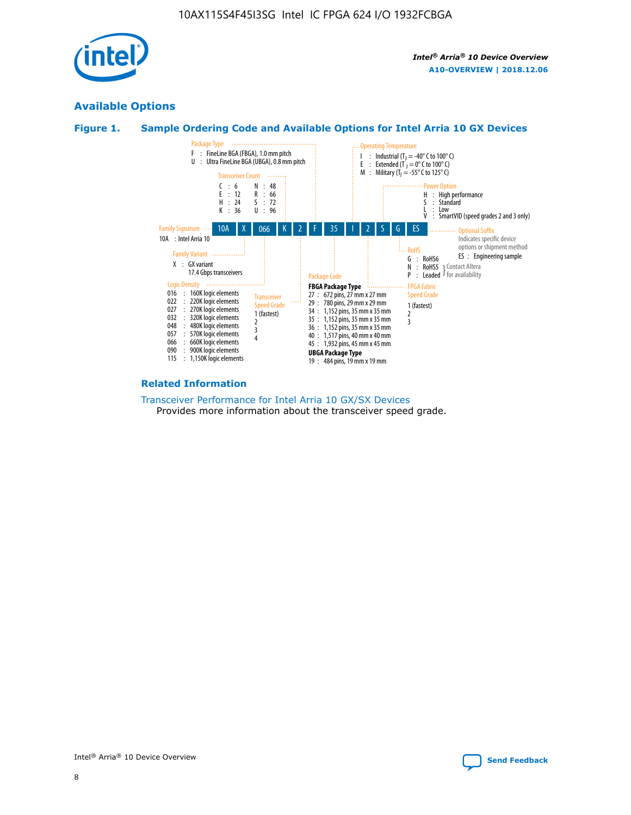

### **Available Options**





#### **Related Information**

#### [Transceiver Performance for Intel Arria 10 GX/SX Devices](https://www.intel.com/content/www/us/en/programmable/documentation/mcn1413182292568.html#mcn1413213965502) Provides more information about the transceiver speed grade.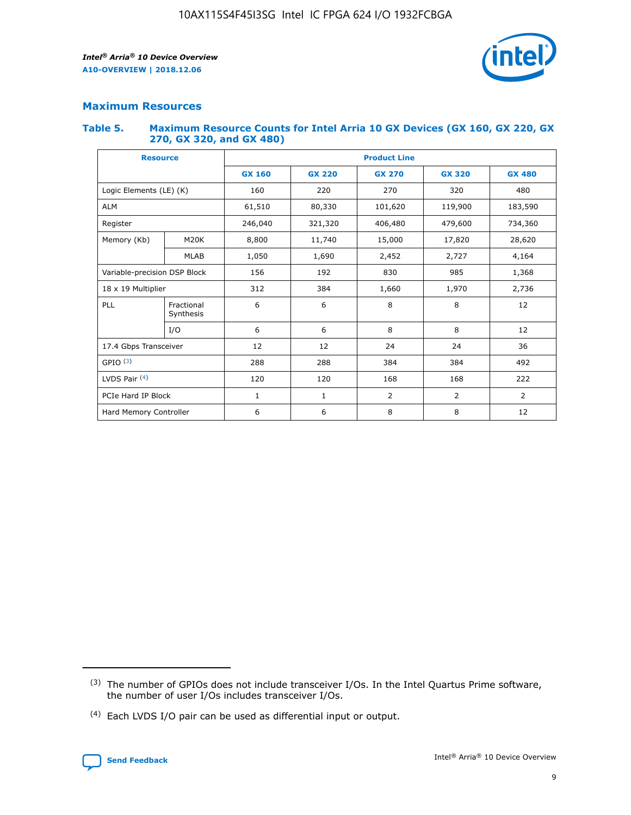

### **Maximum Resources**

#### **Table 5. Maximum Resource Counts for Intel Arria 10 GX Devices (GX 160, GX 220, GX 270, GX 320, and GX 480)**

| <b>Resource</b>         |                                     | <b>Product Line</b> |                                                 |         |                |                |  |  |  |
|-------------------------|-------------------------------------|---------------------|-------------------------------------------------|---------|----------------|----------------|--|--|--|
|                         |                                     | <b>GX 160</b>       | <b>GX 220</b><br><b>GX 270</b><br><b>GX 320</b> |         |                | <b>GX 480</b>  |  |  |  |
| Logic Elements (LE) (K) |                                     | 160                 | 220                                             | 270     | 320            | 480            |  |  |  |
| <b>ALM</b>              |                                     | 61,510              | 80,330                                          | 101,620 | 119,900        | 183,590        |  |  |  |
| Register                |                                     | 246,040             | 321,320                                         | 406,480 | 479,600        | 734,360        |  |  |  |
| Memory (Kb)             | M <sub>20</sub> K                   | 8,800               | 11,740                                          | 15,000  | 17,820         | 28,620         |  |  |  |
|                         | <b>MLAB</b>                         | 1,050               | 1,690                                           | 2,452   | 2,727          | 4,164          |  |  |  |
|                         | Variable-precision DSP Block<br>156 |                     | 192                                             | 830     | 985            | 1,368          |  |  |  |
| 18 x 19 Multiplier      |                                     | 312                 | 384                                             | 1,660   | 1,970          | 2,736          |  |  |  |
| PLL                     | Fractional<br>Synthesis             | 6                   | 6                                               | 8       | 8              | 12             |  |  |  |
|                         | I/O                                 | 6                   | 6                                               | 8       | 8              | 12             |  |  |  |
| 17.4 Gbps Transceiver   |                                     | 12                  | 12                                              | 24      | 24             |                |  |  |  |
| GPIO <sup>(3)</sup>     |                                     | 288                 | 288                                             | 384     | 384            | 492            |  |  |  |
| LVDS Pair $(4)$         |                                     | 120                 | 120                                             | 168     | 168            | 222            |  |  |  |
| PCIe Hard IP Block      |                                     | 1                   | 1                                               | 2       | $\overline{2}$ | $\overline{2}$ |  |  |  |
| Hard Memory Controller  |                                     | 6                   | 6                                               | 8       | 8              | 12             |  |  |  |

<sup>(4)</sup> Each LVDS I/O pair can be used as differential input or output.



<sup>(3)</sup> The number of GPIOs does not include transceiver I/Os. In the Intel Quartus Prime software, the number of user I/Os includes transceiver I/Os.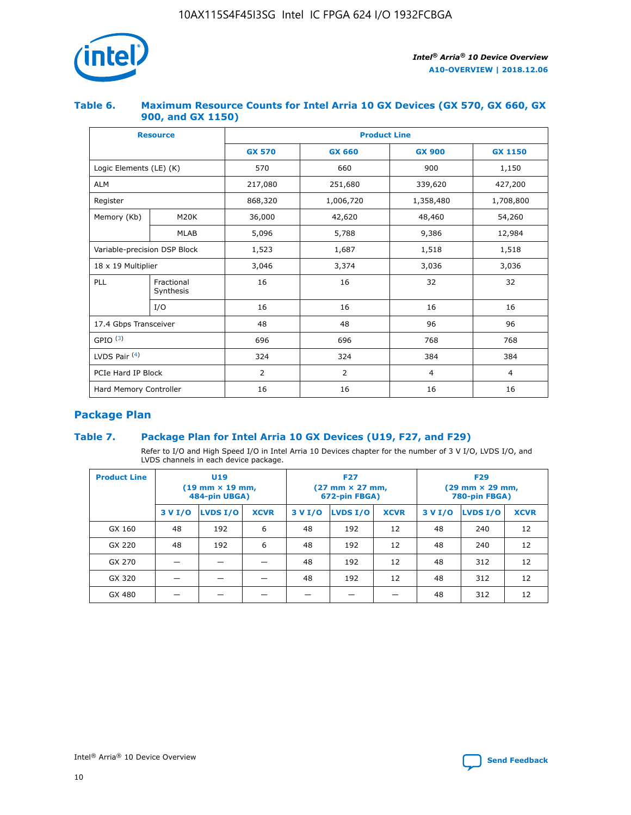

### **Table 6. Maximum Resource Counts for Intel Arria 10 GX Devices (GX 570, GX 660, GX 900, and GX 1150)**

|                              | <b>Resource</b>         | <b>Product Line</b> |                                |                |                |  |  |  |
|------------------------------|-------------------------|---------------------|--------------------------------|----------------|----------------|--|--|--|
|                              |                         | <b>GX 570</b>       | <b>GX 660</b><br><b>GX 900</b> |                | <b>GX 1150</b> |  |  |  |
| Logic Elements (LE) (K)      |                         | 570                 | 660                            | 900            | 1,150          |  |  |  |
| <b>ALM</b>                   |                         | 217,080             | 251,680                        | 339,620        | 427,200        |  |  |  |
| Register                     |                         | 868,320             | 1,006,720                      | 1,358,480      | 1,708,800      |  |  |  |
| Memory (Kb)                  | <b>M20K</b>             | 36,000              | 42,620                         | 48,460         | 54,260         |  |  |  |
|                              | <b>MLAB</b>             | 5,096               | 5,788                          | 9,386          | 12,984         |  |  |  |
| Variable-precision DSP Block |                         | 1,523               | 1,687                          | 1,518          | 1,518          |  |  |  |
| $18 \times 19$ Multiplier    |                         | 3,046               | 3,374                          | 3,036          | 3,036          |  |  |  |
| PLL                          | Fractional<br>Synthesis | 16                  | 16                             | 32             | 32             |  |  |  |
|                              | I/O                     | 16                  | 16                             | 16             | 16             |  |  |  |
| 17.4 Gbps Transceiver        |                         | 48                  | 48                             |                | 96             |  |  |  |
| GPIO <sup>(3)</sup>          |                         | 696                 | 696                            | 768            | 768            |  |  |  |
| LVDS Pair $(4)$              |                         | 324                 | 324<br>384                     |                | 384            |  |  |  |
| PCIe Hard IP Block           |                         | 2                   | $\overline{2}$                 | $\overline{4}$ | 4              |  |  |  |
| Hard Memory Controller       |                         | 16                  | 16                             | 16             | 16             |  |  |  |

### **Package Plan**

### **Table 7. Package Plan for Intel Arria 10 GX Devices (U19, F27, and F29)**

Refer to I/O and High Speed I/O in Intel Arria 10 Devices chapter for the number of 3 V I/O, LVDS I/O, and LVDS channels in each device package.

| <b>Product Line</b> | U <sub>19</sub><br>$(19 \text{ mm} \times 19 \text{ mm})$<br>484-pin UBGA) |          |             |         | <b>F27</b><br>(27 mm × 27 mm,<br>672-pin FBGA) |             | <b>F29</b><br>(29 mm × 29 mm,<br>780-pin FBGA) |          |             |  |
|---------------------|----------------------------------------------------------------------------|----------|-------------|---------|------------------------------------------------|-------------|------------------------------------------------|----------|-------------|--|
|                     | 3 V I/O                                                                    | LVDS I/O | <b>XCVR</b> | 3 V I/O | <b>LVDS I/O</b>                                | <b>XCVR</b> | 3 V I/O                                        | LVDS I/O | <b>XCVR</b> |  |
| GX 160              | 48                                                                         | 192      | 6           | 48      | 192                                            | 12          | 48                                             | 240      | 12          |  |
| GX 220              | 48                                                                         | 192      | 6           | 48      | 192                                            | 12          | 48                                             | 240      | 12          |  |
| GX 270              |                                                                            |          |             | 48      | 192                                            | 12          | 48                                             | 312      | 12          |  |
| GX 320              |                                                                            |          |             | 48      | 192                                            | 12          | 48                                             | 312      | 12          |  |
| GX 480              |                                                                            |          |             |         |                                                |             | 48                                             | 312      | 12          |  |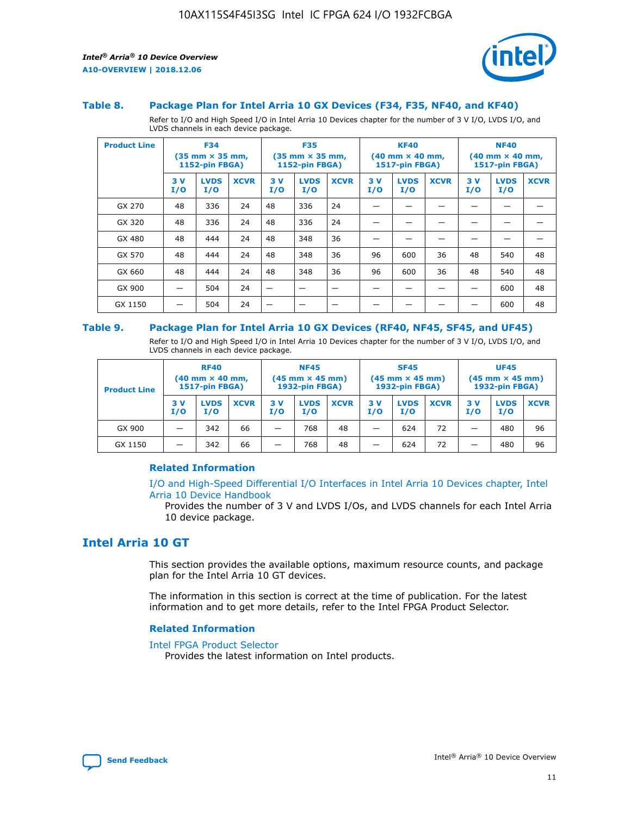

#### **Table 8. Package Plan for Intel Arria 10 GX Devices (F34, F35, NF40, and KF40)**

Refer to I/O and High Speed I/O in Intel Arria 10 Devices chapter for the number of 3 V I/O, LVDS I/O, and LVDS channels in each device package.

| <b>Product Line</b> | <b>F34</b><br>$(35 \text{ mm} \times 35 \text{ mm})$<br><b>1152-pin FBGA)</b> |                    | <b>F35</b><br>$(35 \text{ mm} \times 35 \text{ mm})$<br><b>1152-pin FBGA)</b> |           | <b>KF40</b><br>$(40$ mm $\times$ 40 mm,<br>1517-pin FBGA) |             |           | <b>NF40</b><br>$(40 \text{ mm} \times 40 \text{ mm})$<br>1517-pin FBGA) |             |           |                    |             |
|---------------------|-------------------------------------------------------------------------------|--------------------|-------------------------------------------------------------------------------|-----------|-----------------------------------------------------------|-------------|-----------|-------------------------------------------------------------------------|-------------|-----------|--------------------|-------------|
|                     | 3V<br>I/O                                                                     | <b>LVDS</b><br>I/O | <b>XCVR</b>                                                                   | 3V<br>I/O | <b>LVDS</b><br>I/O                                        | <b>XCVR</b> | 3V<br>I/O | <b>LVDS</b><br>I/O                                                      | <b>XCVR</b> | 3V<br>I/O | <b>LVDS</b><br>I/O | <b>XCVR</b> |
| GX 270              | 48                                                                            | 336                | 24                                                                            | 48        | 336                                                       | 24          |           |                                                                         |             |           |                    |             |
| GX 320              | 48                                                                            | 336                | 24                                                                            | 48        | 336                                                       | 24          |           |                                                                         |             |           |                    |             |
| GX 480              | 48                                                                            | 444                | 24                                                                            | 48        | 348                                                       | 36          |           |                                                                         |             |           |                    |             |
| GX 570              | 48                                                                            | 444                | 24                                                                            | 48        | 348                                                       | 36          | 96        | 600                                                                     | 36          | 48        | 540                | 48          |
| GX 660              | 48                                                                            | 444                | 24                                                                            | 48        | 348                                                       | 36          | 96        | 600                                                                     | 36          | 48        | 540                | 48          |
| GX 900              |                                                                               | 504                | 24                                                                            | –         |                                                           | -           |           |                                                                         |             |           | 600                | 48          |
| GX 1150             |                                                                               | 504                | 24                                                                            |           |                                                           |             |           |                                                                         |             |           | 600                | 48          |

#### **Table 9. Package Plan for Intel Arria 10 GX Devices (RF40, NF45, SF45, and UF45)**

Refer to I/O and High Speed I/O in Intel Arria 10 Devices chapter for the number of 3 V I/O, LVDS I/O, and LVDS channels in each device package.

| <b>Product Line</b> | <b>RF40</b><br>$(40$ mm $\times$ 40 mm,<br>1517-pin FBGA) |                    |             | <b>NF45</b><br>$(45 \text{ mm} \times 45 \text{ mm})$<br><b>1932-pin FBGA)</b> |                    |             | <b>SF45</b><br>$(45 \text{ mm} \times 45 \text{ mm})$<br><b>1932-pin FBGA)</b> |                    |             | <b>UF45</b><br>$(45 \text{ mm} \times 45 \text{ mm})$<br><b>1932-pin FBGA)</b> |                    |             |
|---------------------|-----------------------------------------------------------|--------------------|-------------|--------------------------------------------------------------------------------|--------------------|-------------|--------------------------------------------------------------------------------|--------------------|-------------|--------------------------------------------------------------------------------|--------------------|-------------|
|                     | 3V<br>I/O                                                 | <b>LVDS</b><br>I/O | <b>XCVR</b> | 3 V<br>I/O                                                                     | <b>LVDS</b><br>I/O | <b>XCVR</b> | 3 V<br>I/O                                                                     | <b>LVDS</b><br>I/O | <b>XCVR</b> | 3V<br>I/O                                                                      | <b>LVDS</b><br>I/O | <b>XCVR</b> |
| GX 900              |                                                           | 342                | 66          | _                                                                              | 768                | 48          |                                                                                | 624                | 72          |                                                                                | 480                | 96          |
| GX 1150             |                                                           | 342                | 66          | _                                                                              | 768                | 48          |                                                                                | 624                | 72          |                                                                                | 480                | 96          |

### **Related Information**

[I/O and High-Speed Differential I/O Interfaces in Intel Arria 10 Devices chapter, Intel](https://www.intel.com/content/www/us/en/programmable/documentation/sam1403482614086.html#sam1403482030321) [Arria 10 Device Handbook](https://www.intel.com/content/www/us/en/programmable/documentation/sam1403482614086.html#sam1403482030321)

Provides the number of 3 V and LVDS I/Os, and LVDS channels for each Intel Arria 10 device package.

### **Intel Arria 10 GT**

This section provides the available options, maximum resource counts, and package plan for the Intel Arria 10 GT devices.

The information in this section is correct at the time of publication. For the latest information and to get more details, refer to the Intel FPGA Product Selector.

#### **Related Information**

#### [Intel FPGA Product Selector](http://www.altera.com/products/selector/psg-selector.html)

Provides the latest information on Intel products.

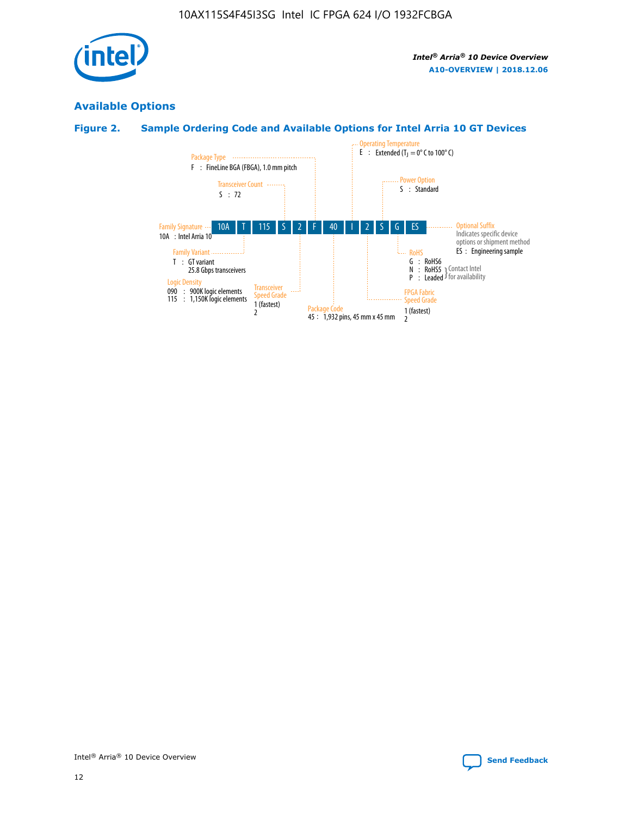

### **Available Options**

### **Figure 2. Sample Ordering Code and Available Options for Intel Arria 10 GT Devices**

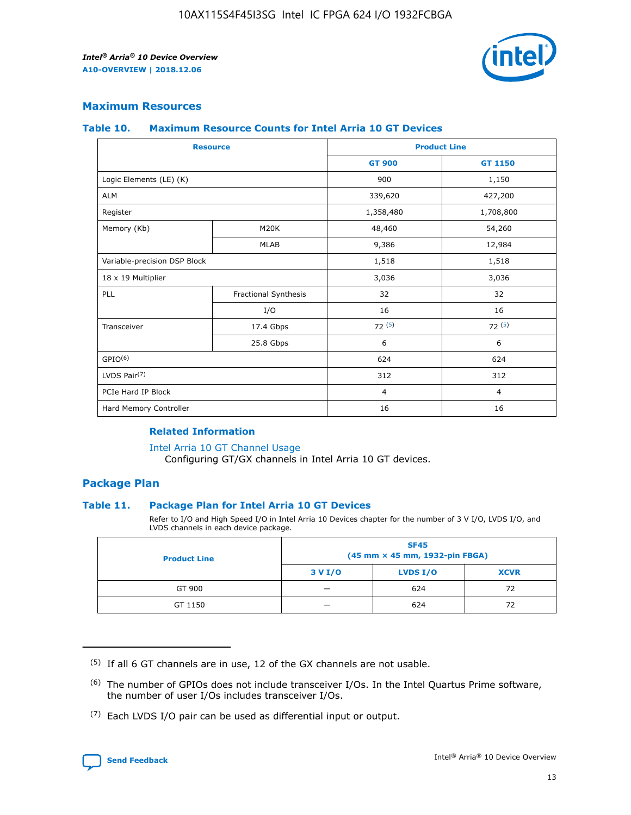

### **Maximum Resources**

#### **Table 10. Maximum Resource Counts for Intel Arria 10 GT Devices**

| <b>Resource</b>              |                      | <b>Product Line</b> |                |  |
|------------------------------|----------------------|---------------------|----------------|--|
|                              |                      | <b>GT 900</b>       | <b>GT 1150</b> |  |
| Logic Elements (LE) (K)      |                      | 900                 | 1,150          |  |
| <b>ALM</b>                   |                      | 339,620             | 427,200        |  |
| Register                     |                      | 1,358,480           | 1,708,800      |  |
| Memory (Kb)                  | M20K                 | 48,460              | 54,260         |  |
|                              | <b>MLAB</b>          | 9,386               | 12,984         |  |
| Variable-precision DSP Block |                      | 1,518               | 1,518          |  |
| 18 x 19 Multiplier           |                      | 3,036               | 3,036          |  |
| PLL                          | Fractional Synthesis | 32                  | 32             |  |
|                              | I/O                  | 16                  | 16             |  |
| Transceiver                  | 17.4 Gbps            | 72(5)               | 72(5)          |  |
|                              | 25.8 Gbps            | 6                   | 6              |  |
| GPIO <sup>(6)</sup>          |                      | 624                 | 624            |  |
| LVDS Pair $(7)$              |                      | 312                 | 312            |  |
| PCIe Hard IP Block           |                      | $\overline{4}$      | $\overline{4}$ |  |
| Hard Memory Controller       |                      | 16                  | 16             |  |

### **Related Information**

#### [Intel Arria 10 GT Channel Usage](https://www.intel.com/content/www/us/en/programmable/documentation/nik1398707230472.html#nik1398707008178)

Configuring GT/GX channels in Intel Arria 10 GT devices.

### **Package Plan**

### **Table 11. Package Plan for Intel Arria 10 GT Devices**

Refer to I/O and High Speed I/O in Intel Arria 10 Devices chapter for the number of 3 V I/O, LVDS I/O, and LVDS channels in each device package.

| <b>Product Line</b> | <b>SF45</b><br>(45 mm × 45 mm, 1932-pin FBGA) |                 |             |  |  |  |
|---------------------|-----------------------------------------------|-----------------|-------------|--|--|--|
|                     | 3 V I/O                                       | <b>LVDS I/O</b> | <b>XCVR</b> |  |  |  |
| GT 900              |                                               | 624             | 72          |  |  |  |
| GT 1150             |                                               | 624             | 72          |  |  |  |

<sup>(7)</sup> Each LVDS I/O pair can be used as differential input or output.



 $(5)$  If all 6 GT channels are in use, 12 of the GX channels are not usable.

<sup>(6)</sup> The number of GPIOs does not include transceiver I/Os. In the Intel Quartus Prime software, the number of user I/Os includes transceiver I/Os.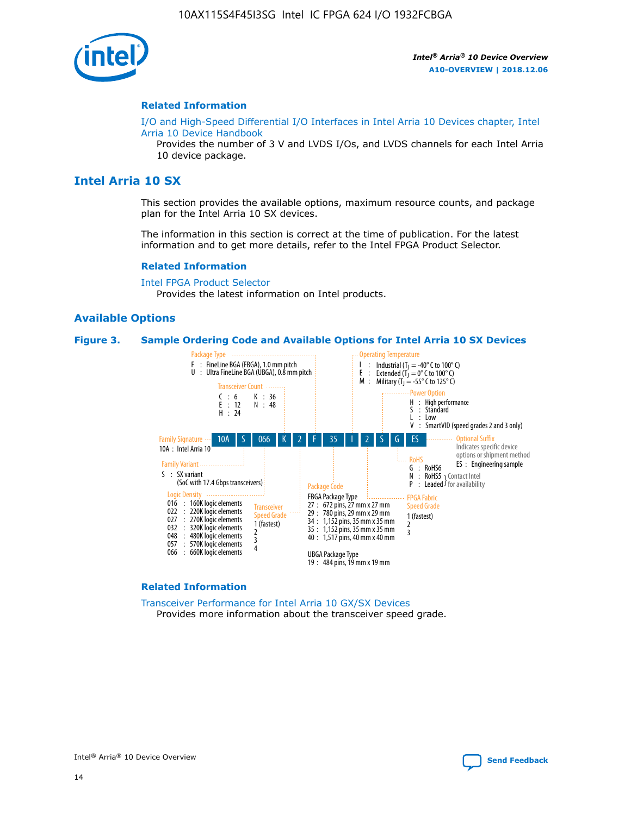

#### **Related Information**

[I/O and High-Speed Differential I/O Interfaces in Intel Arria 10 Devices chapter, Intel](https://www.intel.com/content/www/us/en/programmable/documentation/sam1403482614086.html#sam1403482030321) [Arria 10 Device Handbook](https://www.intel.com/content/www/us/en/programmable/documentation/sam1403482614086.html#sam1403482030321)

Provides the number of 3 V and LVDS I/Os, and LVDS channels for each Intel Arria 10 device package.

### **Intel Arria 10 SX**

This section provides the available options, maximum resource counts, and package plan for the Intel Arria 10 SX devices.

The information in this section is correct at the time of publication. For the latest information and to get more details, refer to the Intel FPGA Product Selector.

#### **Related Information**

[Intel FPGA Product Selector](http://www.altera.com/products/selector/psg-selector.html) Provides the latest information on Intel products.

#### **Available Options**

#### **Figure 3. Sample Ordering Code and Available Options for Intel Arria 10 SX Devices**



#### **Related Information**

[Transceiver Performance for Intel Arria 10 GX/SX Devices](https://www.intel.com/content/www/us/en/programmable/documentation/mcn1413182292568.html#mcn1413213965502) Provides more information about the transceiver speed grade.

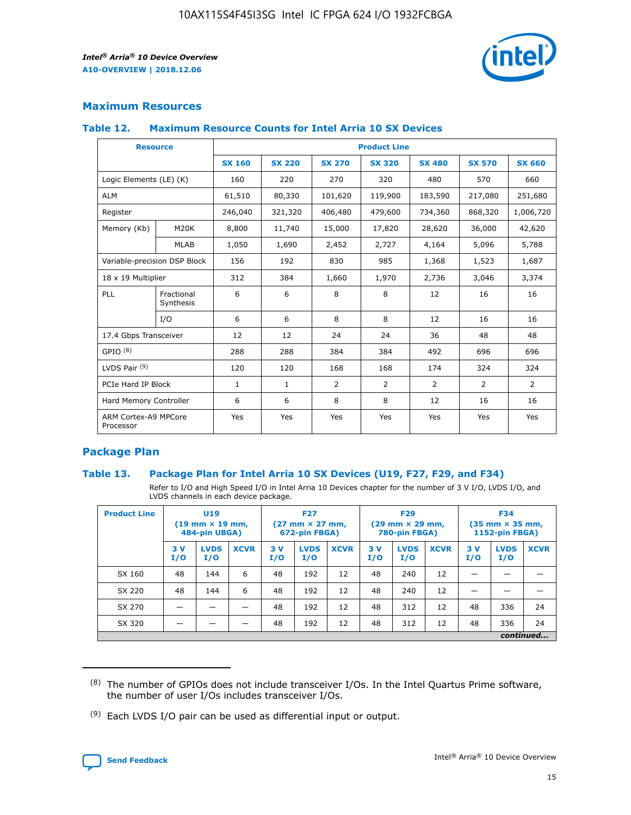

### **Maximum Resources**

#### **Table 12. Maximum Resource Counts for Intel Arria 10 SX Devices**

|                                   | <b>Resource</b>         | <b>Product Line</b> |               |                |                |                |                |                |  |  |  |
|-----------------------------------|-------------------------|---------------------|---------------|----------------|----------------|----------------|----------------|----------------|--|--|--|
|                                   |                         | <b>SX 160</b>       | <b>SX 220</b> | <b>SX 270</b>  | <b>SX 320</b>  | <b>SX 480</b>  | <b>SX 570</b>  | <b>SX 660</b>  |  |  |  |
| Logic Elements (LE) (K)           |                         | 160                 | 220           | 270            | 320            | 480            | 570            | 660            |  |  |  |
| <b>ALM</b>                        |                         | 61,510              | 80,330        | 101,620        | 119,900        | 183,590        | 217,080        | 251,680        |  |  |  |
| Register                          |                         | 246,040             | 321,320       | 406,480        | 479,600        | 734,360        | 868,320        | 1,006,720      |  |  |  |
| Memory (Kb)                       | M <sub>20</sub> K       | 8,800               | 11,740        | 15,000         | 17,820         | 28,620         | 36,000         | 42,620         |  |  |  |
|                                   | <b>MLAB</b>             | 1,050               | 1,690         | 2,452          | 2,727          | 4,164          | 5,096          | 5,788          |  |  |  |
| Variable-precision DSP Block      |                         | 156                 | 192           | 830            | 985            | 1,368          | 1,523          | 1,687          |  |  |  |
| 18 x 19 Multiplier                |                         | 312                 | 384           | 1,660          | 1,970          | 2,736          | 3,046          | 3,374          |  |  |  |
| <b>PLL</b>                        | Fractional<br>Synthesis | 6                   | 6             | 8              | 8              | 12             | 16             | 16             |  |  |  |
|                                   | I/O                     | 6                   | 6             | 8              | 8              | 12             | 16             | 16             |  |  |  |
| 17.4 Gbps Transceiver             |                         | 12                  | 12            | 24             | 24             | 36             | 48             | 48             |  |  |  |
| GPIO <sup>(8)</sup>               |                         | 288                 | 288           | 384            | 384            | 492            | 696            | 696            |  |  |  |
| LVDS Pair $(9)$                   |                         | 120                 | 120           | 168            | 168            | 174            | 324            | 324            |  |  |  |
| PCIe Hard IP Block                |                         | $\mathbf{1}$        | $\mathbf{1}$  | $\overline{2}$ | $\overline{2}$ | $\overline{2}$ | $\overline{2}$ | $\overline{2}$ |  |  |  |
| Hard Memory Controller            |                         | 6                   | 6             | 8              | 8              | 12             | 16             | 16             |  |  |  |
| ARM Cortex-A9 MPCore<br>Processor |                         | Yes                 | Yes           | Yes            | Yes            | Yes            | Yes            | Yes            |  |  |  |

### **Package Plan**

### **Table 13. Package Plan for Intel Arria 10 SX Devices (U19, F27, F29, and F34)**

Refer to I/O and High Speed I/O in Intel Arria 10 Devices chapter for the number of 3 V I/O, LVDS I/O, and LVDS channels in each device package.

| <b>Product Line</b> | <b>U19</b><br>$(19 \text{ mm} \times 19 \text{ mm})$<br>484-pin UBGA) |                    |             | <b>F27</b><br>$(27 \text{ mm} \times 27 \text{ mm})$<br>672-pin FBGA) |                    | <b>F29</b><br>$(29 \text{ mm} \times 29 \text{ mm})$<br>780-pin FBGA) |           |                    | <b>F34</b><br>$(35 \text{ mm} \times 35 \text{ mm})$<br><b>1152-pin FBGA)</b> |           |                    |             |
|---------------------|-----------------------------------------------------------------------|--------------------|-------------|-----------------------------------------------------------------------|--------------------|-----------------------------------------------------------------------|-----------|--------------------|-------------------------------------------------------------------------------|-----------|--------------------|-------------|
|                     | 3V<br>I/O                                                             | <b>LVDS</b><br>I/O | <b>XCVR</b> | 3V<br>I/O                                                             | <b>LVDS</b><br>I/O | <b>XCVR</b>                                                           | 3V<br>I/O | <b>LVDS</b><br>I/O | <b>XCVR</b>                                                                   | 3V<br>I/O | <b>LVDS</b><br>I/O | <b>XCVR</b> |
| SX 160              | 48                                                                    | 144                | 6           | 48                                                                    | 192                | 12                                                                    | 48        | 240                | 12                                                                            | -         |                    |             |
| SX 220              | 48                                                                    | 144                | 6           | 48                                                                    | 192                | 12                                                                    | 48        | 240                | 12                                                                            |           |                    |             |
| SX 270              |                                                                       |                    |             | 48                                                                    | 192                | 12                                                                    | 48        | 312                | 12                                                                            | 48        | 336                | 24          |
| SX 320              |                                                                       |                    |             | 48                                                                    | 192                | 12                                                                    | 48        | 312                | 12                                                                            | 48        | 336                | 24          |
|                     | continued                                                             |                    |             |                                                                       |                    |                                                                       |           |                    |                                                                               |           |                    |             |

 $(8)$  The number of GPIOs does not include transceiver I/Os. In the Intel Quartus Prime software, the number of user I/Os includes transceiver I/Os.

 $(9)$  Each LVDS I/O pair can be used as differential input or output.

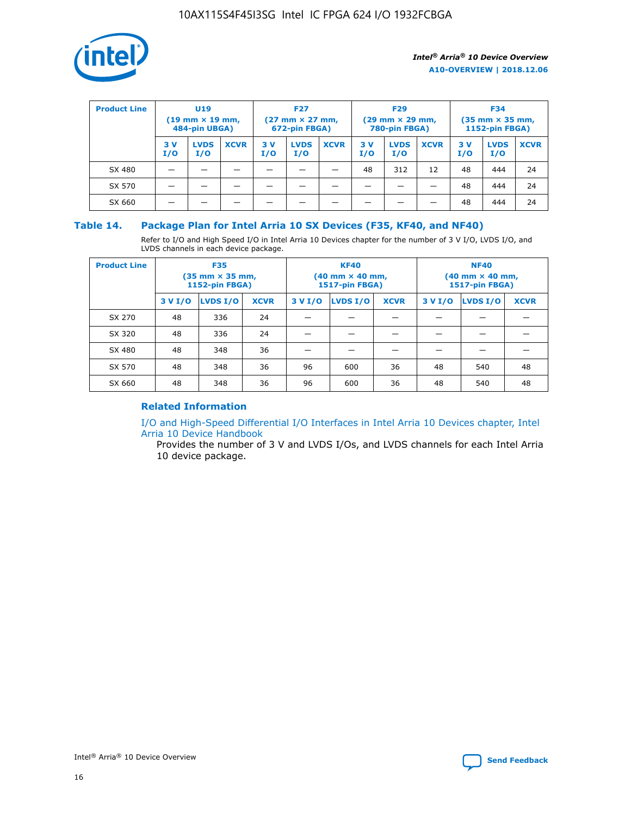

| <b>Product Line</b> | <b>U19</b><br>$(19 \text{ mm} \times 19 \text{ mm})$<br>484-pin UBGA) |                    | <b>F27</b><br>$(27 \text{ mm} \times 27 \text{ mm})$<br>672-pin FBGA) |           | <b>F29</b><br>$(29 \text{ mm} \times 29 \text{ mm})$<br>780-pin FBGA) |             |           | <b>F34</b><br>$(35$ mm $\times$ 35 mm,<br><b>1152-pin FBGA)</b> |             |           |                    |             |
|---------------------|-----------------------------------------------------------------------|--------------------|-----------------------------------------------------------------------|-----------|-----------------------------------------------------------------------|-------------|-----------|-----------------------------------------------------------------|-------------|-----------|--------------------|-------------|
|                     | 3 V<br>I/O                                                            | <b>LVDS</b><br>I/O | <b>XCVR</b>                                                           | 3V<br>I/O | <b>LVDS</b><br>I/O                                                    | <b>XCVR</b> | 3V<br>I/O | <b>LVDS</b><br>I/O                                              | <b>XCVR</b> | 3V<br>I/O | <b>LVDS</b><br>I/O | <b>XCVR</b> |
| SX 480              |                                                                       |                    |                                                                       |           |                                                                       |             | 48        | 312                                                             | 12          | 48        | 444                | 24          |
| SX 570              |                                                                       |                    |                                                                       |           |                                                                       |             |           |                                                                 |             | 48        | 444                | 24          |
| SX 660              |                                                                       |                    |                                                                       |           |                                                                       |             |           |                                                                 |             | 48        | 444                | 24          |

### **Table 14. Package Plan for Intel Arria 10 SX Devices (F35, KF40, and NF40)**

Refer to I/O and High Speed I/O in Intel Arria 10 Devices chapter for the number of 3 V I/O, LVDS I/O, and LVDS channels in each device package.

| <b>Product Line</b> | <b>F35</b><br>(35 mm × 35 mm,<br><b>1152-pin FBGA)</b> |          |             |                                           | <b>KF40</b><br>(40 mm × 40 mm,<br>1517-pin FBGA) |    | <b>NF40</b><br>$(40 \text{ mm} \times 40 \text{ mm})$<br>1517-pin FBGA) |          |             |  |
|---------------------|--------------------------------------------------------|----------|-------------|-------------------------------------------|--------------------------------------------------|----|-------------------------------------------------------------------------|----------|-------------|--|
|                     | 3 V I/O                                                | LVDS I/O | <b>XCVR</b> | <b>LVDS I/O</b><br>3 V I/O<br><b>XCVR</b> |                                                  |    | 3 V I/O                                                                 | LVDS I/O | <b>XCVR</b> |  |
| SX 270              | 48                                                     | 336      | 24          |                                           |                                                  |    |                                                                         |          |             |  |
| SX 320              | 48                                                     | 336      | 24          |                                           |                                                  |    |                                                                         |          |             |  |
| SX 480              | 48                                                     | 348      | 36          |                                           |                                                  |    |                                                                         |          |             |  |
| SX 570              | 48                                                     | 348      | 36          | 96                                        | 600                                              | 36 | 48                                                                      | 540      | 48          |  |
| SX 660              | 48                                                     | 348      | 36          | 96                                        | 600                                              | 36 | 48                                                                      | 540      | 48          |  |

### **Related Information**

[I/O and High-Speed Differential I/O Interfaces in Intel Arria 10 Devices chapter, Intel](https://www.intel.com/content/www/us/en/programmable/documentation/sam1403482614086.html#sam1403482030321) [Arria 10 Device Handbook](https://www.intel.com/content/www/us/en/programmable/documentation/sam1403482614086.html#sam1403482030321)

Provides the number of 3 V and LVDS I/Os, and LVDS channels for each Intel Arria 10 device package.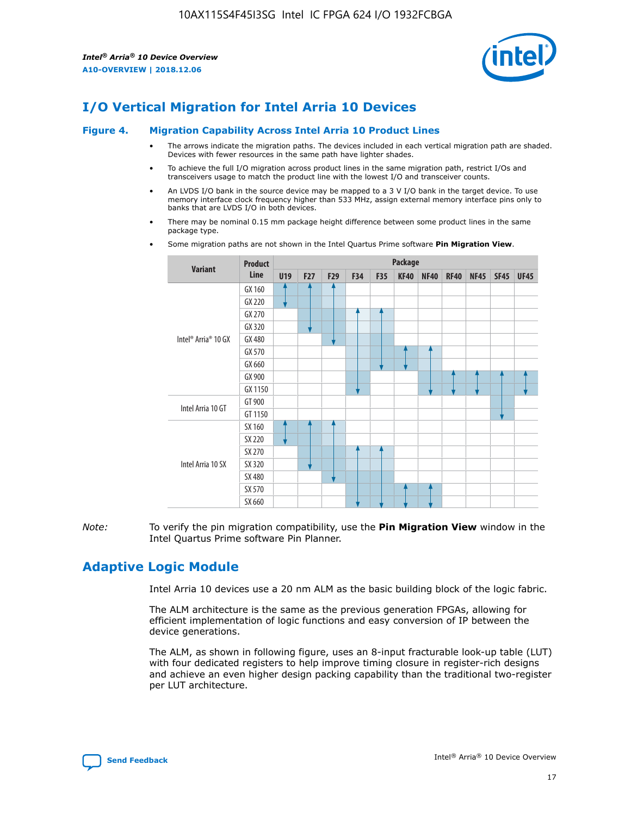

### **I/O Vertical Migration for Intel Arria 10 Devices**

#### **Figure 4. Migration Capability Across Intel Arria 10 Product Lines**

- The arrows indicate the migration paths. The devices included in each vertical migration path are shaded. Devices with fewer resources in the same path have lighter shades.
- To achieve the full I/O migration across product lines in the same migration path, restrict I/Os and transceivers usage to match the product line with the lowest I/O and transceiver counts.
- An LVDS I/O bank in the source device may be mapped to a 3 V I/O bank in the target device. To use memory interface clock frequency higher than 533 MHz, assign external memory interface pins only to banks that are LVDS I/O in both devices.
- There may be nominal 0.15 mm package height difference between some product lines in the same package type.
	- **Variant Product Line Package U19 F27 F29 F34 F35 KF40 NF40 RF40 NF45 SF45 UF45** Intel® Arria® 10 GX GX 160 GX 220 GX 270 GX 320 GX 480 GX 570 GX 660 GX 900 GX 1150 Intel Arria 10 GT GT 900 GT 1150 Intel Arria 10 SX SX 160 SX 220 SX 270 SX 320 SX 480 SX 570 SX 660
- Some migration paths are not shown in the Intel Quartus Prime software **Pin Migration View**.

*Note:* To verify the pin migration compatibility, use the **Pin Migration View** window in the Intel Quartus Prime software Pin Planner.

### **Adaptive Logic Module**

Intel Arria 10 devices use a 20 nm ALM as the basic building block of the logic fabric.

The ALM architecture is the same as the previous generation FPGAs, allowing for efficient implementation of logic functions and easy conversion of IP between the device generations.

The ALM, as shown in following figure, uses an 8-input fracturable look-up table (LUT) with four dedicated registers to help improve timing closure in register-rich designs and achieve an even higher design packing capability than the traditional two-register per LUT architecture.

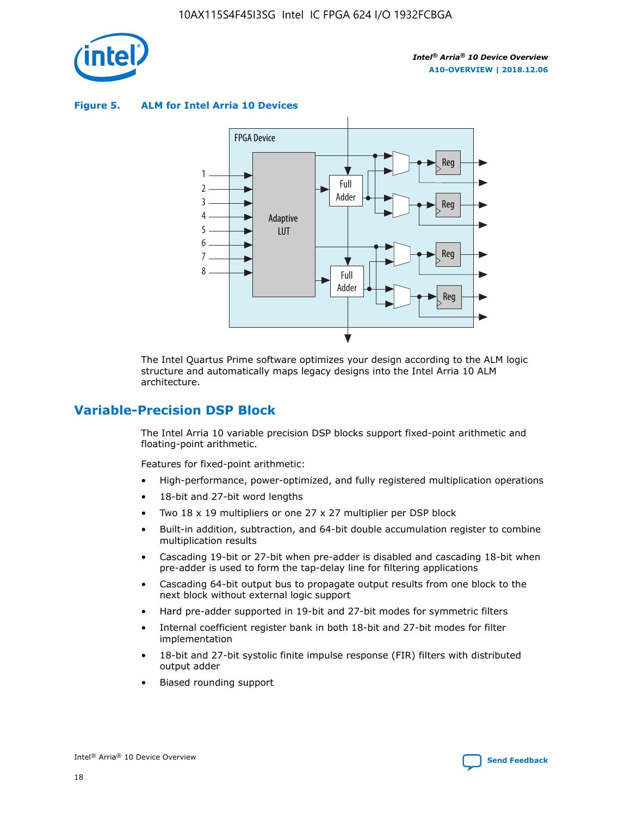

**Figure 5. ALM for Intel Arria 10 Devices**



The Intel Quartus Prime software optimizes your design according to the ALM logic structure and automatically maps legacy designs into the Intel Arria 10 ALM architecture.

### **Variable-Precision DSP Block**

The Intel Arria 10 variable precision DSP blocks support fixed-point arithmetic and floating-point arithmetic.

Features for fixed-point arithmetic:

- High-performance, power-optimized, and fully registered multiplication operations
- 18-bit and 27-bit word lengths
- Two 18 x 19 multipliers or one 27 x 27 multiplier per DSP block
- Built-in addition, subtraction, and 64-bit double accumulation register to combine multiplication results
- Cascading 19-bit or 27-bit when pre-adder is disabled and cascading 18-bit when pre-adder is used to form the tap-delay line for filtering applications
- Cascading 64-bit output bus to propagate output results from one block to the next block without external logic support
- Hard pre-adder supported in 19-bit and 27-bit modes for symmetric filters
- Internal coefficient register bank in both 18-bit and 27-bit modes for filter implementation
- 18-bit and 27-bit systolic finite impulse response (FIR) filters with distributed output adder
- Biased rounding support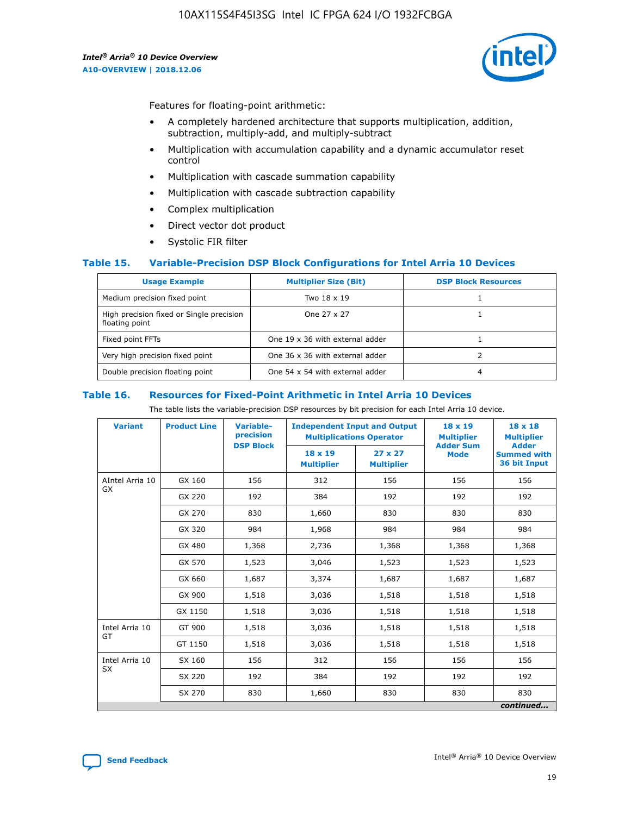

Features for floating-point arithmetic:

- A completely hardened architecture that supports multiplication, addition, subtraction, multiply-add, and multiply-subtract
- Multiplication with accumulation capability and a dynamic accumulator reset control
- Multiplication with cascade summation capability
- Multiplication with cascade subtraction capability
- Complex multiplication
- Direct vector dot product
- Systolic FIR filter

### **Table 15. Variable-Precision DSP Block Configurations for Intel Arria 10 Devices**

| <b>Usage Example</b>                                       | <b>Multiplier Size (Bit)</b>    | <b>DSP Block Resources</b> |
|------------------------------------------------------------|---------------------------------|----------------------------|
| Medium precision fixed point                               | Two 18 x 19                     |                            |
| High precision fixed or Single precision<br>floating point | One 27 x 27                     |                            |
| Fixed point FFTs                                           | One 19 x 36 with external adder |                            |
| Very high precision fixed point                            | One 36 x 36 with external adder |                            |
| Double precision floating point                            | One 54 x 54 with external adder | 4                          |

#### **Table 16. Resources for Fixed-Point Arithmetic in Intel Arria 10 Devices**

The table lists the variable-precision DSP resources by bit precision for each Intel Arria 10 device.

| <b>Variant</b>               | <b>Product Line</b> | <b>Variable-</b><br>precision | <b>Independent Input and Output</b><br><b>Multiplications Operator</b> |                                     | 18 x 19<br><b>Multiplier</b>    | $18 \times 18$<br><b>Multiplier</b>                |
|------------------------------|---------------------|-------------------------------|------------------------------------------------------------------------|-------------------------------------|---------------------------------|----------------------------------------------------|
|                              |                     | <b>DSP Block</b>              | 18 x 19<br><b>Multiplier</b>                                           | $27 \times 27$<br><b>Multiplier</b> | <b>Adder Sum</b><br><b>Mode</b> | <b>Adder</b><br><b>Summed with</b><br>36 bit Input |
| AIntel Arria 10<br><b>GX</b> | GX 160              | 156                           | 312                                                                    | 156                                 | 156                             | 156                                                |
|                              | GX 220              | 192                           | 384                                                                    | 192                                 | 192                             | 192                                                |
|                              | GX 270              | 830                           | 1,660                                                                  | 830                                 | 830                             | 830                                                |
|                              | GX 320              | 984                           | 1,968                                                                  | 984                                 | 984                             | 984                                                |
|                              | GX 480              | 1,368                         | 2,736                                                                  | 1,368                               | 1,368                           | 1,368                                              |
|                              | GX 570              | 1,523                         | 3,046                                                                  | 1,523                               | 1,523                           | 1,523                                              |
|                              | GX 660              | 1,687                         | 3,374                                                                  | 1,687                               | 1,687                           | 1,687                                              |
|                              | GX 900              | 1,518                         | 3,036                                                                  | 1,518                               | 1,518                           | 1,518                                              |
|                              | GX 1150             | 1,518                         | 3,036                                                                  | 1,518                               | 1,518                           | 1,518                                              |
| Intel Arria 10               | GT 900              | 1,518                         | 3,036                                                                  | 1,518                               | 1,518                           | 1,518                                              |
| GT                           | GT 1150             | 1,518                         | 3,036                                                                  | 1,518                               | 1,518                           | 1,518                                              |
| Intel Arria 10               | SX 160              | 156                           | 312                                                                    | 156                                 | 156                             | 156                                                |
| <b>SX</b>                    | SX 220              | 192                           | 384                                                                    | 192                                 | 192                             | 192                                                |
|                              | SX 270              | 830                           | 1,660                                                                  | 830                                 | 830                             | 830                                                |
|                              |                     |                               |                                                                        |                                     |                                 | continued                                          |

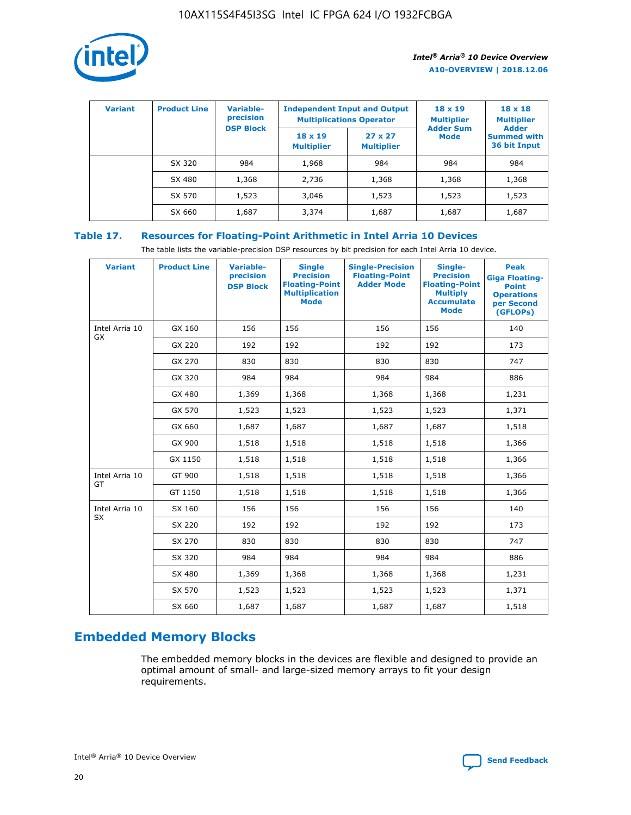

| <b>Variant</b> | <b>Product Line</b> | <b>Variable-</b><br>precision<br><b>DSP Block</b> | <b>Independent Input and Output</b><br><b>Multiplications Operator</b> |                                     | $18 \times 19$<br><b>Multiplier</b><br><b>Adder Sum</b> | $18 \times 18$<br><b>Multiplier</b><br><b>Adder</b> |  |
|----------------|---------------------|---------------------------------------------------|------------------------------------------------------------------------|-------------------------------------|---------------------------------------------------------|-----------------------------------------------------|--|
|                |                     |                                                   | $18 \times 19$<br><b>Multiplier</b>                                    | $27 \times 27$<br><b>Multiplier</b> | <b>Mode</b>                                             | <b>Summed with</b><br>36 bit Input                  |  |
|                | SX 320              | 984                                               | 1,968                                                                  | 984                                 | 984                                                     | 984                                                 |  |
|                | SX 480              | 1,368                                             | 2,736                                                                  | 1,368                               | 1,368                                                   | 1,368                                               |  |
|                | SX 570              | 1,523                                             | 3,046                                                                  | 1,523                               | 1,523                                                   | 1,523                                               |  |
|                | SX 660              | 1,687                                             | 3,374                                                                  | 1,687                               | 1,687                                                   | 1,687                                               |  |

### **Table 17. Resources for Floating-Point Arithmetic in Intel Arria 10 Devices**

The table lists the variable-precision DSP resources by bit precision for each Intel Arria 10 device.

| <b>Variant</b> | <b>Product Line</b> | <b>Variable-</b><br>precision<br><b>DSP Block</b> | <b>Single</b><br><b>Precision</b><br><b>Floating-Point</b><br><b>Multiplication</b><br><b>Mode</b> | <b>Single-Precision</b><br><b>Floating-Point</b><br><b>Adder Mode</b> | Single-<br><b>Precision</b><br><b>Floating-Point</b><br><b>Multiply</b><br><b>Accumulate</b><br><b>Mode</b> | <b>Peak</b><br><b>Giga Floating-</b><br><b>Point</b><br><b>Operations</b><br>per Second<br>(GFLOPs) |
|----------------|---------------------|---------------------------------------------------|----------------------------------------------------------------------------------------------------|-----------------------------------------------------------------------|-------------------------------------------------------------------------------------------------------------|-----------------------------------------------------------------------------------------------------|
| Intel Arria 10 | GX 160              | 156                                               | 156                                                                                                | 156                                                                   | 156                                                                                                         | 140                                                                                                 |
| GX             | GX 220              | 192                                               | 192                                                                                                | 192                                                                   | 192                                                                                                         | 173                                                                                                 |
|                | GX 270              | 830                                               | 830                                                                                                | 830                                                                   | 830                                                                                                         | 747                                                                                                 |
|                | GX 320              | 984                                               | 984                                                                                                | 984                                                                   | 984                                                                                                         | 886                                                                                                 |
|                | GX 480              | 1,369                                             | 1,368                                                                                              | 1,368                                                                 | 1,368                                                                                                       | 1,231                                                                                               |
|                | GX 570              | 1,523                                             | 1,523                                                                                              | 1,523                                                                 | 1,523                                                                                                       | 1,371                                                                                               |
|                | GX 660              | 1,687                                             | 1,687                                                                                              | 1,687                                                                 | 1,687                                                                                                       | 1,518                                                                                               |
|                | GX 900              | 1,518                                             | 1,518                                                                                              | 1,518                                                                 | 1,518                                                                                                       | 1,366                                                                                               |
|                | GX 1150             | 1,518                                             | 1,518                                                                                              | 1,518                                                                 | 1,518                                                                                                       | 1,366                                                                                               |
| Intel Arria 10 | GT 900              | 1,518                                             | 1,518                                                                                              | 1,518                                                                 | 1,518                                                                                                       | 1,366                                                                                               |
| GT             | GT 1150             | 1,518                                             | 1,518                                                                                              | 1,518                                                                 | 1,518                                                                                                       | 1,366                                                                                               |
| Intel Arria 10 | SX 160              | 156                                               | 156                                                                                                | 156                                                                   | 156                                                                                                         | 140                                                                                                 |
| <b>SX</b>      | SX 220              | 192                                               | 192                                                                                                | 192                                                                   | 192                                                                                                         | 173                                                                                                 |
|                | SX 270              | 830                                               | 830                                                                                                | 830                                                                   | 830                                                                                                         | 747                                                                                                 |
|                | SX 320              | 984                                               | 984                                                                                                | 984                                                                   | 984                                                                                                         | 886                                                                                                 |
|                | SX 480              | 1,369                                             | 1,368                                                                                              | 1,368                                                                 | 1,368                                                                                                       | 1,231                                                                                               |
|                | SX 570              | 1,523                                             | 1,523                                                                                              | 1,523                                                                 | 1,523                                                                                                       | 1,371                                                                                               |
|                | SX 660              | 1,687                                             | 1,687                                                                                              | 1,687                                                                 | 1,687                                                                                                       | 1,518                                                                                               |

### **Embedded Memory Blocks**

The embedded memory blocks in the devices are flexible and designed to provide an optimal amount of small- and large-sized memory arrays to fit your design requirements.

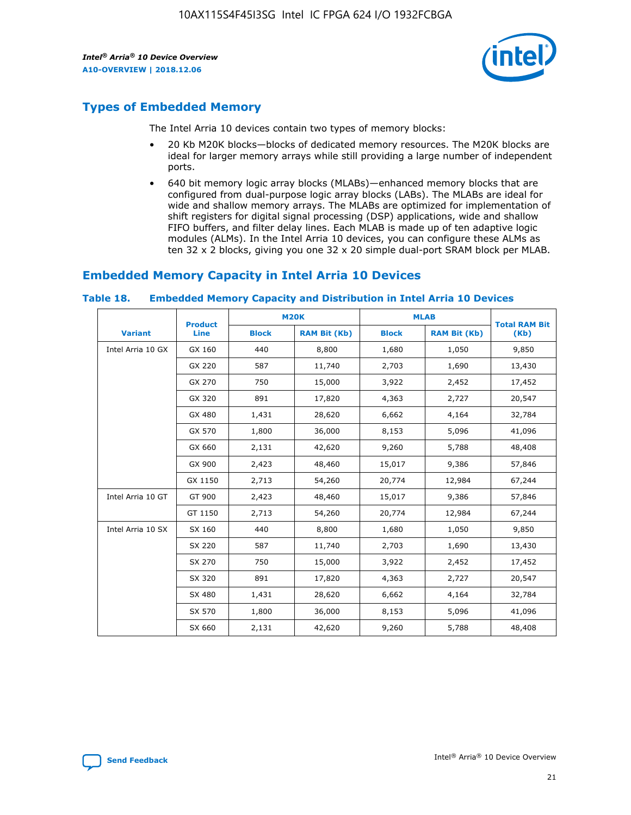

### **Types of Embedded Memory**

The Intel Arria 10 devices contain two types of memory blocks:

- 20 Kb M20K blocks—blocks of dedicated memory resources. The M20K blocks are ideal for larger memory arrays while still providing a large number of independent ports.
- 640 bit memory logic array blocks (MLABs)—enhanced memory blocks that are configured from dual-purpose logic array blocks (LABs). The MLABs are ideal for wide and shallow memory arrays. The MLABs are optimized for implementation of shift registers for digital signal processing (DSP) applications, wide and shallow FIFO buffers, and filter delay lines. Each MLAB is made up of ten adaptive logic modules (ALMs). In the Intel Arria 10 devices, you can configure these ALMs as ten 32 x 2 blocks, giving you one 32 x 20 simple dual-port SRAM block per MLAB.

### **Embedded Memory Capacity in Intel Arria 10 Devices**

|                   | <b>Product</b> |              | <b>M20K</b>         | <b>MLAB</b>  |                     | <b>Total RAM Bit</b> |
|-------------------|----------------|--------------|---------------------|--------------|---------------------|----------------------|
| <b>Variant</b>    | Line           | <b>Block</b> | <b>RAM Bit (Kb)</b> | <b>Block</b> | <b>RAM Bit (Kb)</b> | (Kb)                 |
| Intel Arria 10 GX | GX 160         | 440          | 8,800               | 1,680        | 1,050               | 9,850                |
|                   | GX 220         | 587          | 11,740              | 2,703        | 1,690               | 13,430               |
|                   | GX 270         | 750          | 15,000              | 3,922        | 2,452               | 17,452               |
|                   | GX 320         | 891          | 17,820              | 4,363        | 2,727               | 20,547               |
|                   | GX 480         | 1,431        | 28,620              | 6,662        | 4,164               | 32,784               |
|                   | GX 570         | 1,800        | 36,000              | 8,153        | 5,096               | 41,096               |
|                   | GX 660         | 2,131        | 42,620              | 9,260        | 5,788               | 48,408               |
|                   | GX 900         | 2,423        | 48,460              | 15,017       | 9,386               | 57,846               |
|                   | GX 1150        | 2,713        | 54,260              | 20,774       | 12,984              | 67,244               |
| Intel Arria 10 GT | GT 900         | 2,423        | 48,460              | 15,017       | 9,386               | 57,846               |
|                   | GT 1150        | 2,713        | 54,260              | 20,774       | 12,984              | 67,244               |
| Intel Arria 10 SX | SX 160         | 440          | 8,800               | 1,680        | 1,050               | 9,850                |
|                   | SX 220         | 587          | 11,740              | 2,703        | 1,690               | 13,430               |
|                   | SX 270         | 750          | 15,000              | 3,922        | 2,452               | 17,452               |
|                   | SX 320         | 891          | 17,820              | 4,363        | 2,727               | 20,547               |
|                   | SX 480         | 1,431        | 28,620              | 6,662        | 4,164               | 32,784               |
|                   | SX 570         | 1,800        | 36,000              | 8,153        | 5,096               | 41,096               |
|                   | SX 660         | 2,131        | 42,620              | 9,260        | 5,788               | 48,408               |

#### **Table 18. Embedded Memory Capacity and Distribution in Intel Arria 10 Devices**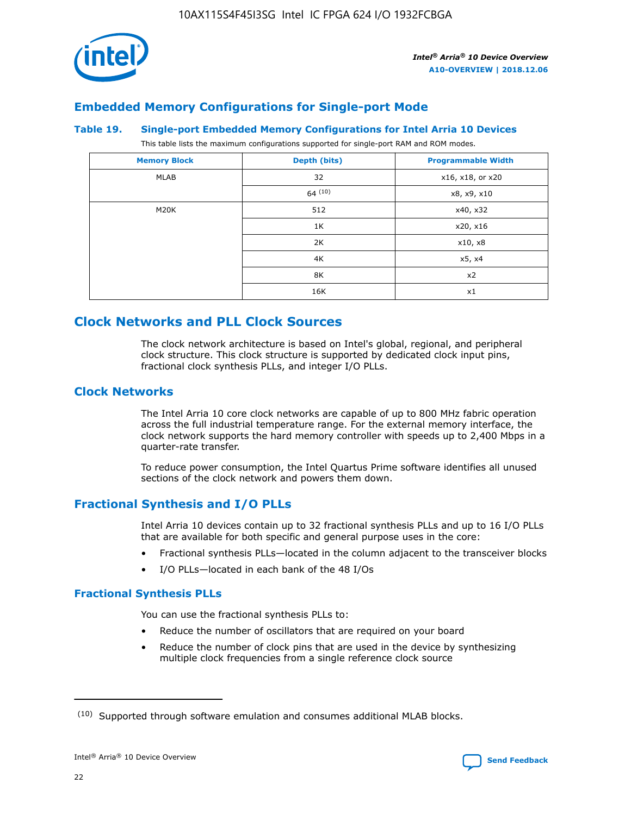

### **Embedded Memory Configurations for Single-port Mode**

#### **Table 19. Single-port Embedded Memory Configurations for Intel Arria 10 Devices**

This table lists the maximum configurations supported for single-port RAM and ROM modes.

| <b>Memory Block</b> | Depth (bits) | <b>Programmable Width</b> |
|---------------------|--------------|---------------------------|
| MLAB                | 32           | x16, x18, or x20          |
|                     | 64(10)       | x8, x9, x10               |
| M20K                | 512          | x40, x32                  |
|                     | 1K           | x20, x16                  |
|                     | 2K           | x10, x8                   |
|                     | 4K           | x5, x4                    |
|                     | 8K           | x2                        |
|                     | 16K          | x1                        |

### **Clock Networks and PLL Clock Sources**

The clock network architecture is based on Intel's global, regional, and peripheral clock structure. This clock structure is supported by dedicated clock input pins, fractional clock synthesis PLLs, and integer I/O PLLs.

### **Clock Networks**

The Intel Arria 10 core clock networks are capable of up to 800 MHz fabric operation across the full industrial temperature range. For the external memory interface, the clock network supports the hard memory controller with speeds up to 2,400 Mbps in a quarter-rate transfer.

To reduce power consumption, the Intel Quartus Prime software identifies all unused sections of the clock network and powers them down.

### **Fractional Synthesis and I/O PLLs**

Intel Arria 10 devices contain up to 32 fractional synthesis PLLs and up to 16 I/O PLLs that are available for both specific and general purpose uses in the core:

- Fractional synthesis PLLs—located in the column adjacent to the transceiver blocks
- I/O PLLs—located in each bank of the 48 I/Os

### **Fractional Synthesis PLLs**

You can use the fractional synthesis PLLs to:

- Reduce the number of oscillators that are required on your board
- Reduce the number of clock pins that are used in the device by synthesizing multiple clock frequencies from a single reference clock source

<sup>(10)</sup> Supported through software emulation and consumes additional MLAB blocks.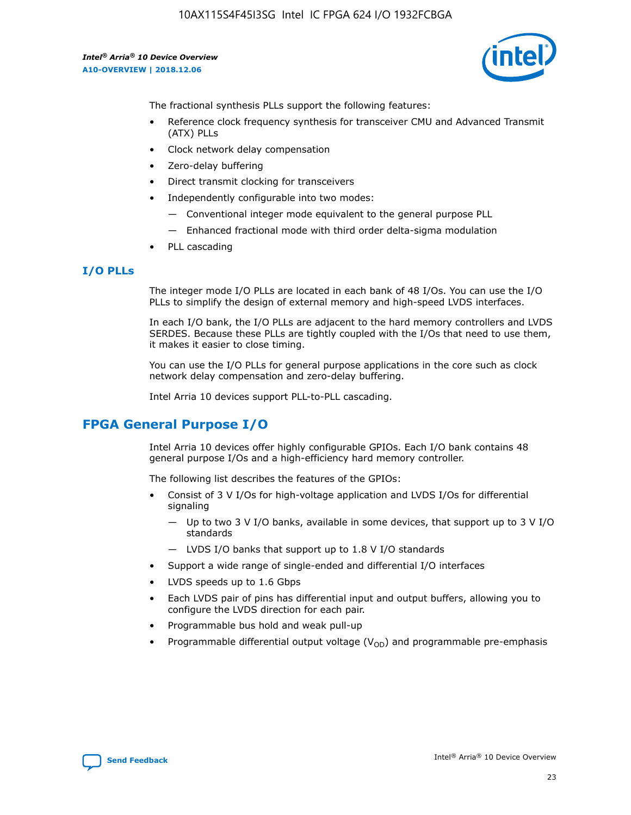

The fractional synthesis PLLs support the following features:

- Reference clock frequency synthesis for transceiver CMU and Advanced Transmit (ATX) PLLs
- Clock network delay compensation
- Zero-delay buffering
- Direct transmit clocking for transceivers
- Independently configurable into two modes:
	- Conventional integer mode equivalent to the general purpose PLL
	- Enhanced fractional mode with third order delta-sigma modulation
- PLL cascading

### **I/O PLLs**

The integer mode I/O PLLs are located in each bank of 48 I/Os. You can use the I/O PLLs to simplify the design of external memory and high-speed LVDS interfaces.

In each I/O bank, the I/O PLLs are adjacent to the hard memory controllers and LVDS SERDES. Because these PLLs are tightly coupled with the I/Os that need to use them, it makes it easier to close timing.

You can use the I/O PLLs for general purpose applications in the core such as clock network delay compensation and zero-delay buffering.

Intel Arria 10 devices support PLL-to-PLL cascading.

### **FPGA General Purpose I/O**

Intel Arria 10 devices offer highly configurable GPIOs. Each I/O bank contains 48 general purpose I/Os and a high-efficiency hard memory controller.

The following list describes the features of the GPIOs:

- Consist of 3 V I/Os for high-voltage application and LVDS I/Os for differential signaling
	- Up to two 3 V I/O banks, available in some devices, that support up to 3 V I/O standards
	- LVDS I/O banks that support up to 1.8 V I/O standards
- Support a wide range of single-ended and differential I/O interfaces
- LVDS speeds up to 1.6 Gbps
- Each LVDS pair of pins has differential input and output buffers, allowing you to configure the LVDS direction for each pair.
- Programmable bus hold and weak pull-up
- Programmable differential output voltage  $(V_{OD})$  and programmable pre-emphasis

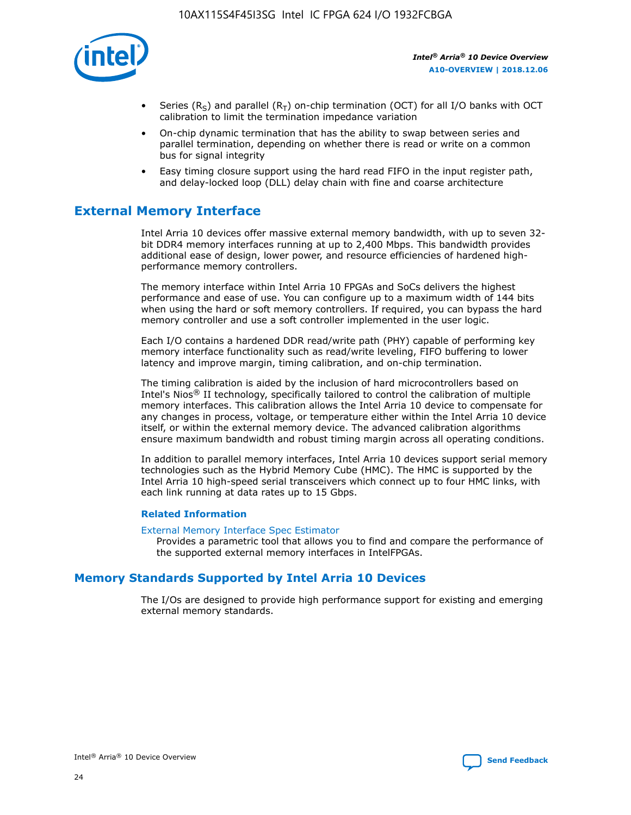

- Series (R<sub>S</sub>) and parallel (R<sub>T</sub>) on-chip termination (OCT) for all I/O banks with OCT calibration to limit the termination impedance variation
- On-chip dynamic termination that has the ability to swap between series and parallel termination, depending on whether there is read or write on a common bus for signal integrity
- Easy timing closure support using the hard read FIFO in the input register path, and delay-locked loop (DLL) delay chain with fine and coarse architecture

### **External Memory Interface**

Intel Arria 10 devices offer massive external memory bandwidth, with up to seven 32 bit DDR4 memory interfaces running at up to 2,400 Mbps. This bandwidth provides additional ease of design, lower power, and resource efficiencies of hardened highperformance memory controllers.

The memory interface within Intel Arria 10 FPGAs and SoCs delivers the highest performance and ease of use. You can configure up to a maximum width of 144 bits when using the hard or soft memory controllers. If required, you can bypass the hard memory controller and use a soft controller implemented in the user logic.

Each I/O contains a hardened DDR read/write path (PHY) capable of performing key memory interface functionality such as read/write leveling, FIFO buffering to lower latency and improve margin, timing calibration, and on-chip termination.

The timing calibration is aided by the inclusion of hard microcontrollers based on Intel's Nios® II technology, specifically tailored to control the calibration of multiple memory interfaces. This calibration allows the Intel Arria 10 device to compensate for any changes in process, voltage, or temperature either within the Intel Arria 10 device itself, or within the external memory device. The advanced calibration algorithms ensure maximum bandwidth and robust timing margin across all operating conditions.

In addition to parallel memory interfaces, Intel Arria 10 devices support serial memory technologies such as the Hybrid Memory Cube (HMC). The HMC is supported by the Intel Arria 10 high-speed serial transceivers which connect up to four HMC links, with each link running at data rates up to 15 Gbps.

### **Related Information**

#### [External Memory Interface Spec Estimator](http://www.altera.com/technology/memory/estimator/mem-emif-index.html)

Provides a parametric tool that allows you to find and compare the performance of the supported external memory interfaces in IntelFPGAs.

### **Memory Standards Supported by Intel Arria 10 Devices**

The I/Os are designed to provide high performance support for existing and emerging external memory standards.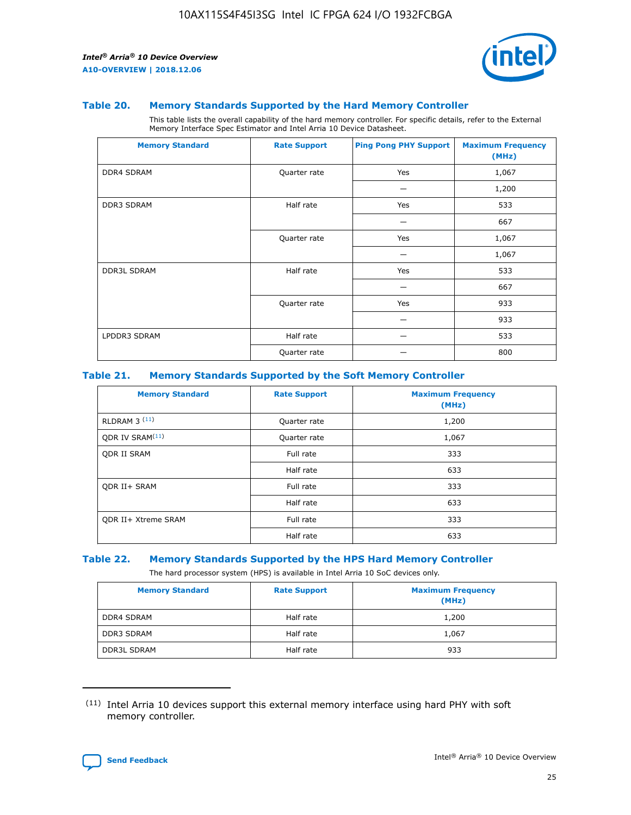

#### **Table 20. Memory Standards Supported by the Hard Memory Controller**

This table lists the overall capability of the hard memory controller. For specific details, refer to the External Memory Interface Spec Estimator and Intel Arria 10 Device Datasheet.

| <b>Memory Standard</b> | <b>Rate Support</b> | <b>Ping Pong PHY Support</b> | <b>Maximum Frequency</b><br>(MHz) |
|------------------------|---------------------|------------------------------|-----------------------------------|
| <b>DDR4 SDRAM</b>      | Quarter rate        | Yes                          | 1,067                             |
|                        |                     |                              | 1,200                             |
| DDR3 SDRAM             | Half rate           | Yes                          | 533                               |
|                        |                     |                              | 667                               |
|                        | Quarter rate        | Yes                          | 1,067                             |
|                        |                     |                              | 1,067                             |
| <b>DDR3L SDRAM</b>     | Half rate           | Yes                          | 533                               |
|                        |                     |                              | 667                               |
|                        | Quarter rate        | Yes                          | 933                               |
|                        |                     |                              | 933                               |
| LPDDR3 SDRAM           | Half rate           |                              | 533                               |
|                        | Quarter rate        |                              | 800                               |

#### **Table 21. Memory Standards Supported by the Soft Memory Controller**

| <b>Memory Standard</b>      | <b>Rate Support</b> | <b>Maximum Frequency</b><br>(MHz) |
|-----------------------------|---------------------|-----------------------------------|
| <b>RLDRAM 3 (11)</b>        | Quarter rate        | 1,200                             |
| ODR IV SRAM <sup>(11)</sup> | Quarter rate        | 1,067                             |
| <b>ODR II SRAM</b>          | Full rate           | 333                               |
|                             | Half rate           | 633                               |
| <b>ODR II+ SRAM</b>         | Full rate           | 333                               |
|                             | Half rate           | 633                               |
| <b>ODR II+ Xtreme SRAM</b>  | Full rate           | 333                               |
|                             | Half rate           | 633                               |

#### **Table 22. Memory Standards Supported by the HPS Hard Memory Controller**

The hard processor system (HPS) is available in Intel Arria 10 SoC devices only.

| <b>Memory Standard</b> | <b>Rate Support</b> | <b>Maximum Frequency</b><br>(MHz) |
|------------------------|---------------------|-----------------------------------|
| <b>DDR4 SDRAM</b>      | Half rate           | 1,200                             |
| <b>DDR3 SDRAM</b>      | Half rate           | 1,067                             |
| <b>DDR3L SDRAM</b>     | Half rate           | 933                               |

<sup>(11)</sup> Intel Arria 10 devices support this external memory interface using hard PHY with soft memory controller.

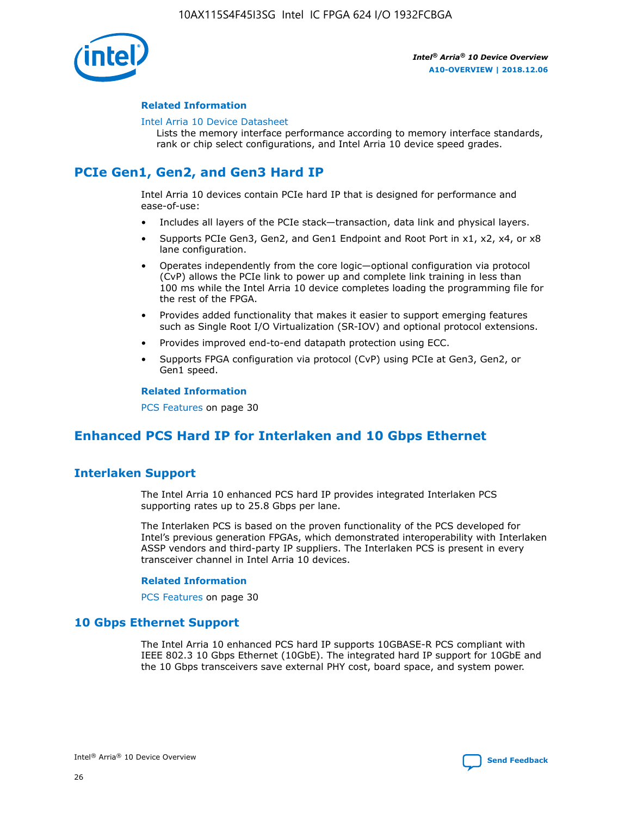

### **Related Information**

#### [Intel Arria 10 Device Datasheet](https://www.intel.com/content/www/us/en/programmable/documentation/mcn1413182292568.html#mcn1413182153340)

Lists the memory interface performance according to memory interface standards, rank or chip select configurations, and Intel Arria 10 device speed grades.

### **PCIe Gen1, Gen2, and Gen3 Hard IP**

Intel Arria 10 devices contain PCIe hard IP that is designed for performance and ease-of-use:

- Includes all layers of the PCIe stack—transaction, data link and physical layers.
- Supports PCIe Gen3, Gen2, and Gen1 Endpoint and Root Port in x1, x2, x4, or x8 lane configuration.
- Operates independently from the core logic—optional configuration via protocol (CvP) allows the PCIe link to power up and complete link training in less than 100 ms while the Intel Arria 10 device completes loading the programming file for the rest of the FPGA.
- Provides added functionality that makes it easier to support emerging features such as Single Root I/O Virtualization (SR-IOV) and optional protocol extensions.
- Provides improved end-to-end datapath protection using ECC.
- Supports FPGA configuration via protocol (CvP) using PCIe at Gen3, Gen2, or Gen1 speed.

#### **Related Information**

PCS Features on page 30

### **Enhanced PCS Hard IP for Interlaken and 10 Gbps Ethernet**

### **Interlaken Support**

The Intel Arria 10 enhanced PCS hard IP provides integrated Interlaken PCS supporting rates up to 25.8 Gbps per lane.

The Interlaken PCS is based on the proven functionality of the PCS developed for Intel's previous generation FPGAs, which demonstrated interoperability with Interlaken ASSP vendors and third-party IP suppliers. The Interlaken PCS is present in every transceiver channel in Intel Arria 10 devices.

### **Related Information**

PCS Features on page 30

### **10 Gbps Ethernet Support**

The Intel Arria 10 enhanced PCS hard IP supports 10GBASE-R PCS compliant with IEEE 802.3 10 Gbps Ethernet (10GbE). The integrated hard IP support for 10GbE and the 10 Gbps transceivers save external PHY cost, board space, and system power.

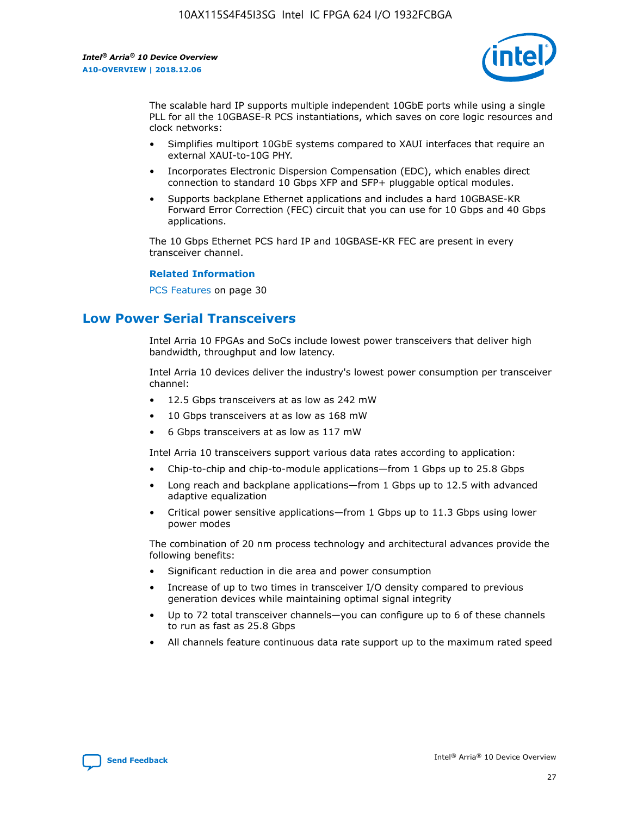

The scalable hard IP supports multiple independent 10GbE ports while using a single PLL for all the 10GBASE-R PCS instantiations, which saves on core logic resources and clock networks:

- Simplifies multiport 10GbE systems compared to XAUI interfaces that require an external XAUI-to-10G PHY.
- Incorporates Electronic Dispersion Compensation (EDC), which enables direct connection to standard 10 Gbps XFP and SFP+ pluggable optical modules.
- Supports backplane Ethernet applications and includes a hard 10GBASE-KR Forward Error Correction (FEC) circuit that you can use for 10 Gbps and 40 Gbps applications.

The 10 Gbps Ethernet PCS hard IP and 10GBASE-KR FEC are present in every transceiver channel.

### **Related Information**

PCS Features on page 30

### **Low Power Serial Transceivers**

Intel Arria 10 FPGAs and SoCs include lowest power transceivers that deliver high bandwidth, throughput and low latency.

Intel Arria 10 devices deliver the industry's lowest power consumption per transceiver channel:

- 12.5 Gbps transceivers at as low as 242 mW
- 10 Gbps transceivers at as low as 168 mW
- 6 Gbps transceivers at as low as 117 mW

Intel Arria 10 transceivers support various data rates according to application:

- Chip-to-chip and chip-to-module applications—from 1 Gbps up to 25.8 Gbps
- Long reach and backplane applications—from 1 Gbps up to 12.5 with advanced adaptive equalization
- Critical power sensitive applications—from 1 Gbps up to 11.3 Gbps using lower power modes

The combination of 20 nm process technology and architectural advances provide the following benefits:

- Significant reduction in die area and power consumption
- Increase of up to two times in transceiver I/O density compared to previous generation devices while maintaining optimal signal integrity
- Up to 72 total transceiver channels—you can configure up to 6 of these channels to run as fast as 25.8 Gbps
- All channels feature continuous data rate support up to the maximum rated speed

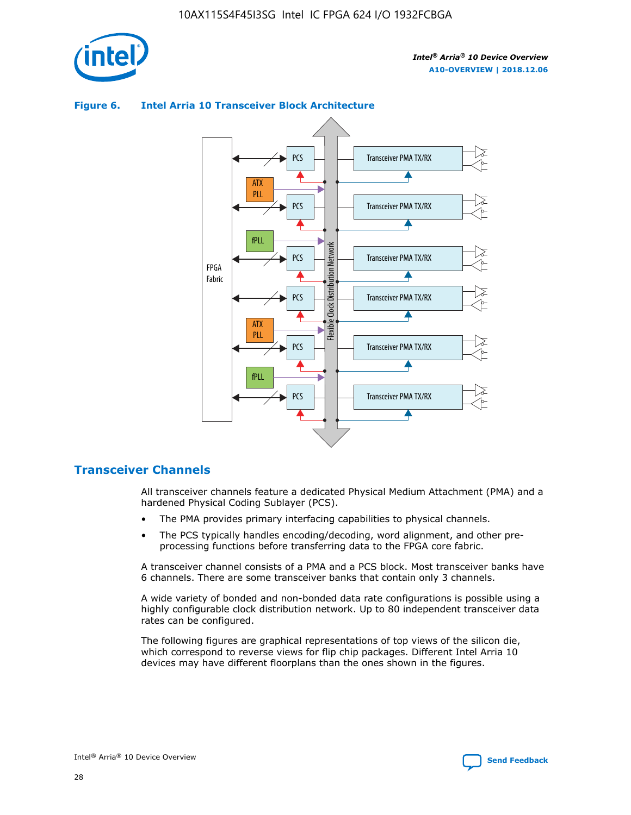



### **Figure 6. Intel Arria 10 Transceiver Block Architecture**

### **Transceiver Channels**

All transceiver channels feature a dedicated Physical Medium Attachment (PMA) and a hardened Physical Coding Sublayer (PCS).

- The PMA provides primary interfacing capabilities to physical channels.
- The PCS typically handles encoding/decoding, word alignment, and other preprocessing functions before transferring data to the FPGA core fabric.

A transceiver channel consists of a PMA and a PCS block. Most transceiver banks have 6 channels. There are some transceiver banks that contain only 3 channels.

A wide variety of bonded and non-bonded data rate configurations is possible using a highly configurable clock distribution network. Up to 80 independent transceiver data rates can be configured.

The following figures are graphical representations of top views of the silicon die, which correspond to reverse views for flip chip packages. Different Intel Arria 10 devices may have different floorplans than the ones shown in the figures.

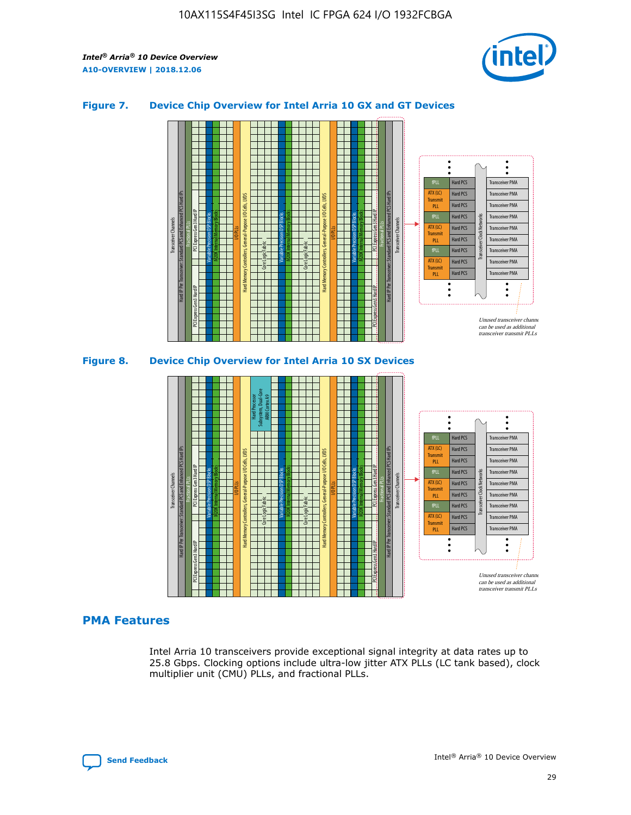

### **Figure 7. Device Chip Overview for Intel Arria 10 GX and GT Devices**





### **PMA Features**

Intel Arria 10 transceivers provide exceptional signal integrity at data rates up to 25.8 Gbps. Clocking options include ultra-low jitter ATX PLLs (LC tank based), clock multiplier unit (CMU) PLLs, and fractional PLLs.

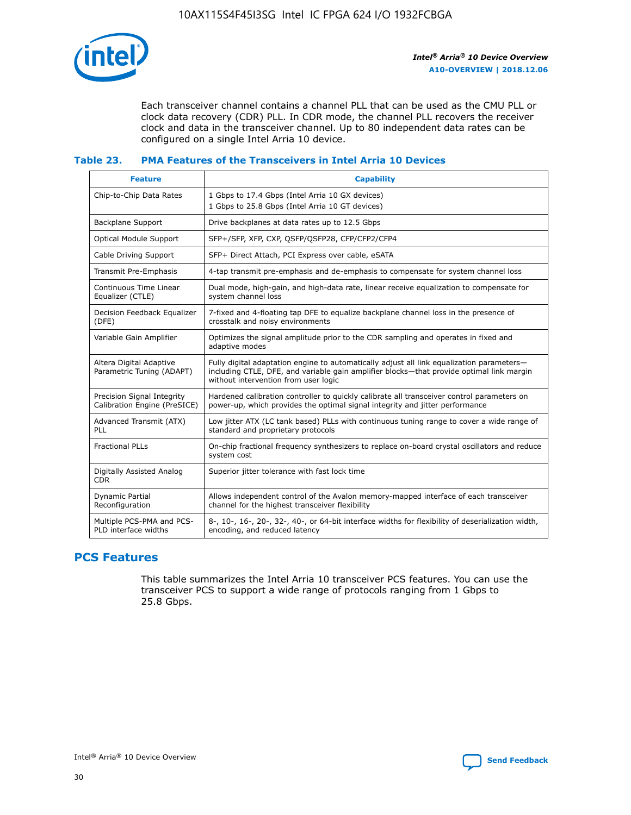

Each transceiver channel contains a channel PLL that can be used as the CMU PLL or clock data recovery (CDR) PLL. In CDR mode, the channel PLL recovers the receiver clock and data in the transceiver channel. Up to 80 independent data rates can be configured on a single Intel Arria 10 device.

### **Table 23. PMA Features of the Transceivers in Intel Arria 10 Devices**

| <b>Feature</b>                                             | <b>Capability</b>                                                                                                                                                                                                             |
|------------------------------------------------------------|-------------------------------------------------------------------------------------------------------------------------------------------------------------------------------------------------------------------------------|
| Chip-to-Chip Data Rates                                    | 1 Gbps to 17.4 Gbps (Intel Arria 10 GX devices)<br>1 Gbps to 25.8 Gbps (Intel Arria 10 GT devices)                                                                                                                            |
| Backplane Support                                          | Drive backplanes at data rates up to 12.5 Gbps                                                                                                                                                                                |
| <b>Optical Module Support</b>                              | SFP+/SFP, XFP, CXP, QSFP/QSFP28, CFP/CFP2/CFP4                                                                                                                                                                                |
| Cable Driving Support                                      | SFP+ Direct Attach, PCI Express over cable, eSATA                                                                                                                                                                             |
| Transmit Pre-Emphasis                                      | 4-tap transmit pre-emphasis and de-emphasis to compensate for system channel loss                                                                                                                                             |
| Continuous Time Linear<br>Equalizer (CTLE)                 | Dual mode, high-gain, and high-data rate, linear receive equalization to compensate for<br>system channel loss                                                                                                                |
| Decision Feedback Equalizer<br>(DFE)                       | 7-fixed and 4-floating tap DFE to equalize backplane channel loss in the presence of<br>crosstalk and noisy environments                                                                                                      |
| Variable Gain Amplifier                                    | Optimizes the signal amplitude prior to the CDR sampling and operates in fixed and<br>adaptive modes                                                                                                                          |
| Altera Digital Adaptive<br>Parametric Tuning (ADAPT)       | Fully digital adaptation engine to automatically adjust all link equalization parameters-<br>including CTLE, DFE, and variable gain amplifier blocks—that provide optimal link margin<br>without intervention from user logic |
| Precision Signal Integrity<br>Calibration Engine (PreSICE) | Hardened calibration controller to quickly calibrate all transceiver control parameters on<br>power-up, which provides the optimal signal integrity and jitter performance                                                    |
| Advanced Transmit (ATX)<br>PLL                             | Low jitter ATX (LC tank based) PLLs with continuous tuning range to cover a wide range of<br>standard and proprietary protocols                                                                                               |
| <b>Fractional PLLs</b>                                     | On-chip fractional frequency synthesizers to replace on-board crystal oscillators and reduce<br>system cost                                                                                                                   |
| Digitally Assisted Analog<br><b>CDR</b>                    | Superior jitter tolerance with fast lock time                                                                                                                                                                                 |
| <b>Dynamic Partial</b><br>Reconfiguration                  | Allows independent control of the Avalon memory-mapped interface of each transceiver<br>channel for the highest transceiver flexibility                                                                                       |
| Multiple PCS-PMA and PCS-<br>PLD interface widths          | 8-, 10-, 16-, 20-, 32-, 40-, or 64-bit interface widths for flexibility of deserialization width,<br>encoding, and reduced latency                                                                                            |

### **PCS Features**

This table summarizes the Intel Arria 10 transceiver PCS features. You can use the transceiver PCS to support a wide range of protocols ranging from 1 Gbps to 25.8 Gbps.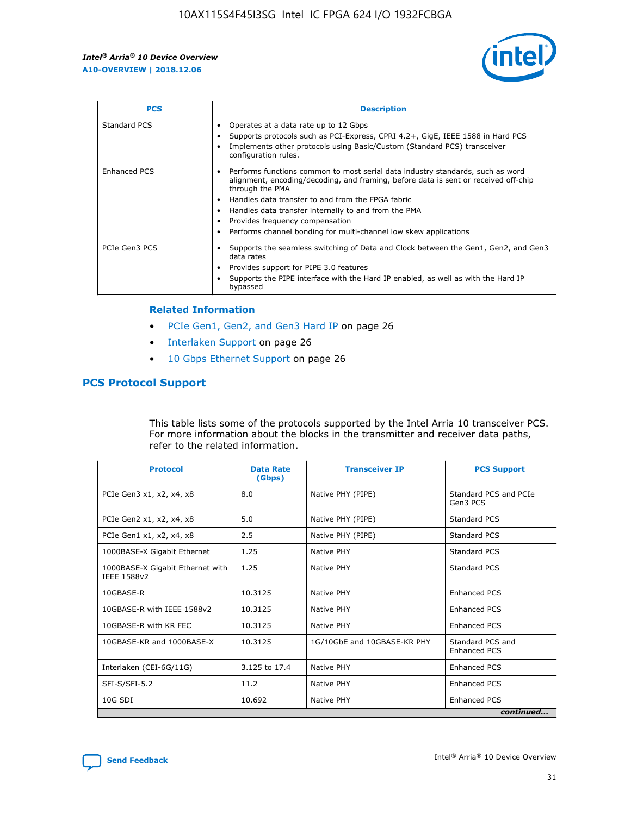

| <b>PCS</b>          | <b>Description</b>                                                                                                                                                                                                                                                                                                                                                                                             |
|---------------------|----------------------------------------------------------------------------------------------------------------------------------------------------------------------------------------------------------------------------------------------------------------------------------------------------------------------------------------------------------------------------------------------------------------|
| Standard PCS        | Operates at a data rate up to 12 Gbps<br>Supports protocols such as PCI-Express, CPRI 4.2+, GigE, IEEE 1588 in Hard PCS<br>Implements other protocols using Basic/Custom (Standard PCS) transceiver<br>configuration rules.                                                                                                                                                                                    |
| <b>Enhanced PCS</b> | Performs functions common to most serial data industry standards, such as word<br>alignment, encoding/decoding, and framing, before data is sent or received off-chip<br>through the PMA<br>• Handles data transfer to and from the FPGA fabric<br>Handles data transfer internally to and from the PMA<br>Provides frequency compensation<br>Performs channel bonding for multi-channel low skew applications |
| PCIe Gen3 PCS       | Supports the seamless switching of Data and Clock between the Gen1, Gen2, and Gen3<br>data rates<br>Provides support for PIPE 3.0 features<br>Supports the PIPE interface with the Hard IP enabled, as well as with the Hard IP<br>bypassed                                                                                                                                                                    |

#### **Related Information**

- PCIe Gen1, Gen2, and Gen3 Hard IP on page 26
- Interlaken Support on page 26
- 10 Gbps Ethernet Support on page 26

### **PCS Protocol Support**

This table lists some of the protocols supported by the Intel Arria 10 transceiver PCS. For more information about the blocks in the transmitter and receiver data paths, refer to the related information.

| <b>Protocol</b>                                 | <b>Data Rate</b><br>(Gbps) | <b>Transceiver IP</b>       | <b>PCS Support</b>                      |
|-------------------------------------------------|----------------------------|-----------------------------|-----------------------------------------|
| PCIe Gen3 x1, x2, x4, x8                        | 8.0                        | Native PHY (PIPE)           | Standard PCS and PCIe<br>Gen3 PCS       |
| PCIe Gen2 x1, x2, x4, x8                        | 5.0                        | Native PHY (PIPE)           | <b>Standard PCS</b>                     |
| PCIe Gen1 x1, x2, x4, x8                        | 2.5                        | Native PHY (PIPE)           | Standard PCS                            |
| 1000BASE-X Gigabit Ethernet                     | 1.25                       | Native PHY                  | <b>Standard PCS</b>                     |
| 1000BASE-X Gigabit Ethernet with<br>IEEE 1588v2 | 1.25                       | Native PHY                  | Standard PCS                            |
| 10GBASE-R                                       | 10.3125                    | Native PHY                  | <b>Enhanced PCS</b>                     |
| 10GBASE-R with IEEE 1588v2                      | 10.3125                    | Native PHY                  | <b>Enhanced PCS</b>                     |
| 10GBASE-R with KR FEC                           | 10.3125                    | Native PHY                  | <b>Enhanced PCS</b>                     |
| 10GBASE-KR and 1000BASE-X                       | 10.3125                    | 1G/10GbE and 10GBASE-KR PHY | Standard PCS and<br><b>Enhanced PCS</b> |
| Interlaken (CEI-6G/11G)                         | 3.125 to 17.4              | Native PHY                  | <b>Enhanced PCS</b>                     |
| SFI-S/SFI-5.2                                   | 11.2                       | Native PHY                  | <b>Enhanced PCS</b>                     |
| $10G$ SDI                                       | 10.692                     | Native PHY                  | <b>Enhanced PCS</b>                     |
|                                                 |                            |                             | continued                               |

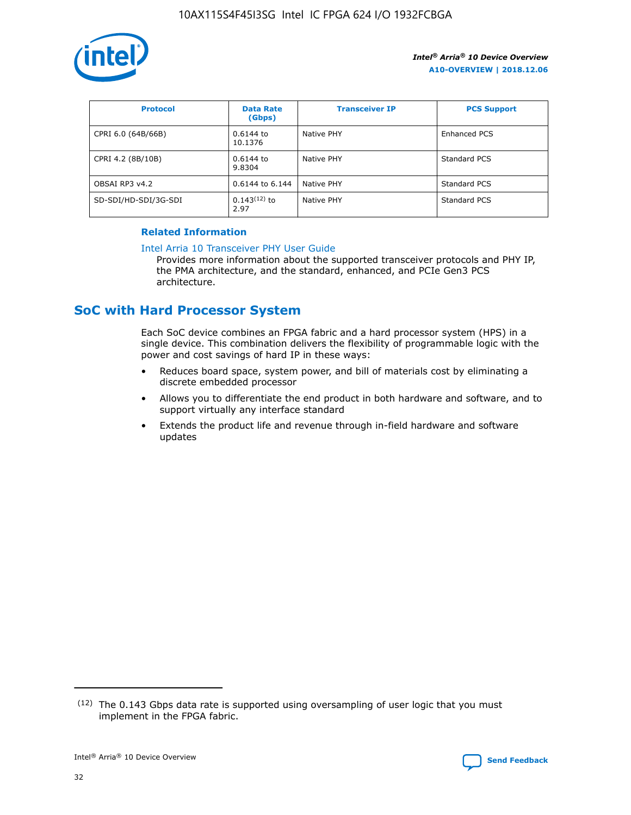

| <b>Protocol</b>      | <b>Data Rate</b><br>(Gbps) | <b>Transceiver IP</b> | <b>PCS Support</b> |
|----------------------|----------------------------|-----------------------|--------------------|
| CPRI 6.0 (64B/66B)   | 0.6144 to<br>10.1376       | Native PHY            | Enhanced PCS       |
| CPRI 4.2 (8B/10B)    | 0.6144 to<br>9.8304        | Native PHY            | Standard PCS       |
| OBSAI RP3 v4.2       | 0.6144 to 6.144            | Native PHY            | Standard PCS       |
| SD-SDI/HD-SDI/3G-SDI | $0.143(12)$ to<br>2.97     | Native PHY            | Standard PCS       |

### **Related Information**

#### [Intel Arria 10 Transceiver PHY User Guide](https://www.intel.com/content/www/us/en/programmable/documentation/nik1398707230472.html#nik1398707091164)

Provides more information about the supported transceiver protocols and PHY IP, the PMA architecture, and the standard, enhanced, and PCIe Gen3 PCS architecture.

### **SoC with Hard Processor System**

Each SoC device combines an FPGA fabric and a hard processor system (HPS) in a single device. This combination delivers the flexibility of programmable logic with the power and cost savings of hard IP in these ways:

- Reduces board space, system power, and bill of materials cost by eliminating a discrete embedded processor
- Allows you to differentiate the end product in both hardware and software, and to support virtually any interface standard
- Extends the product life and revenue through in-field hardware and software updates

 $(12)$  The 0.143 Gbps data rate is supported using oversampling of user logic that you must implement in the FPGA fabric.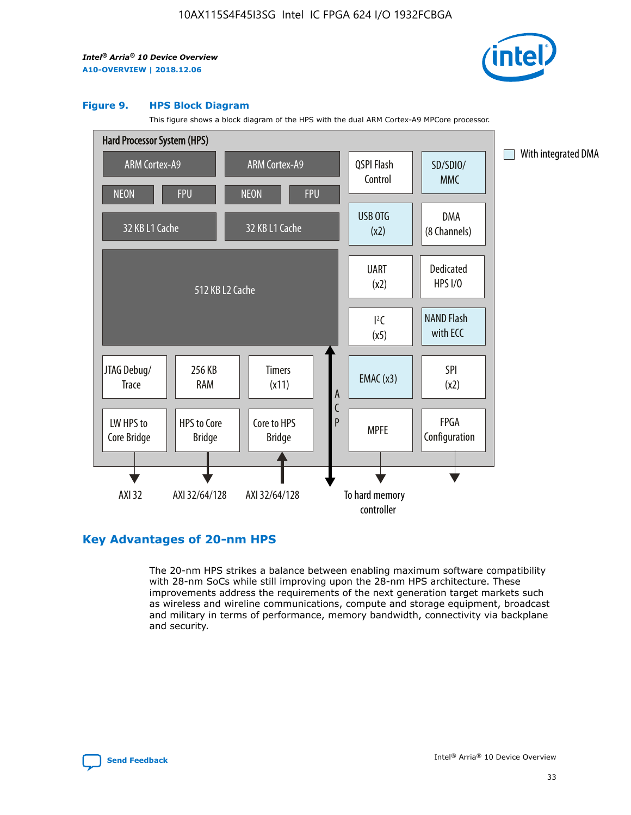

#### **Figure 9. HPS Block Diagram**

This figure shows a block diagram of the HPS with the dual ARM Cortex-A9 MPCore processor.



### **Key Advantages of 20-nm HPS**

The 20-nm HPS strikes a balance between enabling maximum software compatibility with 28-nm SoCs while still improving upon the 28-nm HPS architecture. These improvements address the requirements of the next generation target markets such as wireless and wireline communications, compute and storage equipment, broadcast and military in terms of performance, memory bandwidth, connectivity via backplane and security.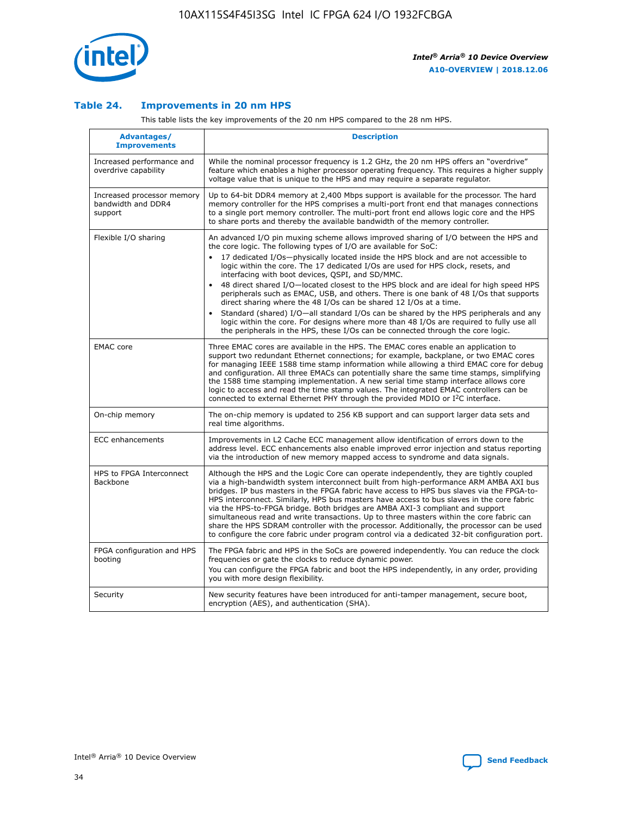

### **Table 24. Improvements in 20 nm HPS**

This table lists the key improvements of the 20 nm HPS compared to the 28 nm HPS.

| Advantages/<br><b>Improvements</b>                          | <b>Description</b>                                                                                                                                                                                                                                                                                                                                                                                                                                                                                                                                                                                                                                                                                                                                                                                                                                                                                                                   |
|-------------------------------------------------------------|--------------------------------------------------------------------------------------------------------------------------------------------------------------------------------------------------------------------------------------------------------------------------------------------------------------------------------------------------------------------------------------------------------------------------------------------------------------------------------------------------------------------------------------------------------------------------------------------------------------------------------------------------------------------------------------------------------------------------------------------------------------------------------------------------------------------------------------------------------------------------------------------------------------------------------------|
| Increased performance and<br>overdrive capability           | While the nominal processor frequency is 1.2 GHz, the 20 nm HPS offers an "overdrive"<br>feature which enables a higher processor operating frequency. This requires a higher supply<br>voltage value that is unique to the HPS and may require a separate regulator.                                                                                                                                                                                                                                                                                                                                                                                                                                                                                                                                                                                                                                                                |
| Increased processor memory<br>bandwidth and DDR4<br>support | Up to 64-bit DDR4 memory at 2,400 Mbps support is available for the processor. The hard<br>memory controller for the HPS comprises a multi-port front end that manages connections<br>to a single port memory controller. The multi-port front end allows logic core and the HPS<br>to share ports and thereby the available bandwidth of the memory controller.                                                                                                                                                                                                                                                                                                                                                                                                                                                                                                                                                                     |
| Flexible I/O sharing                                        | An advanced I/O pin muxing scheme allows improved sharing of I/O between the HPS and<br>the core logic. The following types of I/O are available for SoC:<br>17 dedicated I/Os-physically located inside the HPS block and are not accessible to<br>logic within the core. The 17 dedicated I/Os are used for HPS clock, resets, and<br>interfacing with boot devices, QSPI, and SD/MMC.<br>48 direct shared I/O-located closest to the HPS block and are ideal for high speed HPS<br>$\bullet$<br>peripherals such as EMAC, USB, and others. There is one bank of 48 I/Os that supports<br>direct sharing where the 48 I/Os can be shared 12 I/Os at a time.<br>Standard (shared) I/O-all standard I/Os can be shared by the HPS peripherals and any<br>logic within the core. For designs where more than 48 I/Os are reguired to fully use all<br>the peripherals in the HPS, these I/Os can be connected through the core logic. |
| <b>EMAC</b> core                                            | Three EMAC cores are available in the HPS. The EMAC cores enable an application to<br>support two redundant Ethernet connections; for example, backplane, or two EMAC cores<br>for managing IEEE 1588 time stamp information while allowing a third EMAC core for debug<br>and configuration. All three EMACs can potentially share the same time stamps, simplifying<br>the 1588 time stamping implementation. A new serial time stamp interface allows core<br>logic to access and read the time stamp values. The integrated EMAC controllers can be<br>connected to external Ethernet PHY through the provided MDIO or I <sup>2</sup> C interface.                                                                                                                                                                                                                                                                               |
| On-chip memory                                              | The on-chip memory is updated to 256 KB support and can support larger data sets and<br>real time algorithms.                                                                                                                                                                                                                                                                                                                                                                                                                                                                                                                                                                                                                                                                                                                                                                                                                        |
| <b>ECC</b> enhancements                                     | Improvements in L2 Cache ECC management allow identification of errors down to the<br>address level. ECC enhancements also enable improved error injection and status reporting<br>via the introduction of new memory mapped access to syndrome and data signals.                                                                                                                                                                                                                                                                                                                                                                                                                                                                                                                                                                                                                                                                    |
| HPS to FPGA Interconnect<br>Backbone                        | Although the HPS and the Logic Core can operate independently, they are tightly coupled<br>via a high-bandwidth system interconnect built from high-performance ARM AMBA AXI bus<br>bridges. IP bus masters in the FPGA fabric have access to HPS bus slaves via the FPGA-to-<br>HPS interconnect. Similarly, HPS bus masters have access to bus slaves in the core fabric<br>via the HPS-to-FPGA bridge. Both bridges are AMBA AXI-3 compliant and support<br>simultaneous read and write transactions. Up to three masters within the core fabric can<br>share the HPS SDRAM controller with the processor. Additionally, the processor can be used<br>to configure the core fabric under program control via a dedicated 32-bit configuration port.                                                                                                                                                                               |
| FPGA configuration and HPS<br>booting                       | The FPGA fabric and HPS in the SoCs are powered independently. You can reduce the clock<br>frequencies or gate the clocks to reduce dynamic power.<br>You can configure the FPGA fabric and boot the HPS independently, in any order, providing<br>you with more design flexibility.                                                                                                                                                                                                                                                                                                                                                                                                                                                                                                                                                                                                                                                 |
| Security                                                    | New security features have been introduced for anti-tamper management, secure boot,<br>encryption (AES), and authentication (SHA).                                                                                                                                                                                                                                                                                                                                                                                                                                                                                                                                                                                                                                                                                                                                                                                                   |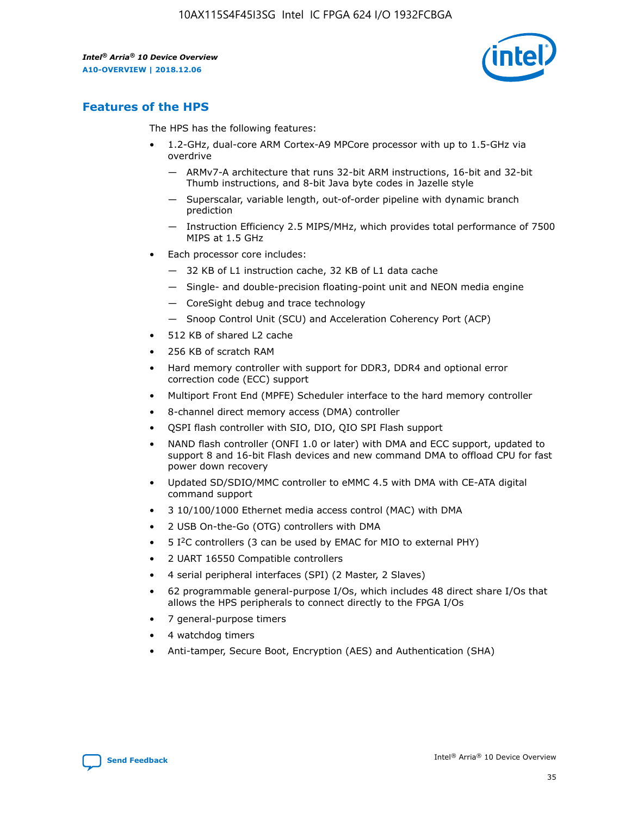

### **Features of the HPS**

The HPS has the following features:

- 1.2-GHz, dual-core ARM Cortex-A9 MPCore processor with up to 1.5-GHz via overdrive
	- ARMv7-A architecture that runs 32-bit ARM instructions, 16-bit and 32-bit Thumb instructions, and 8-bit Java byte codes in Jazelle style
	- Superscalar, variable length, out-of-order pipeline with dynamic branch prediction
	- Instruction Efficiency 2.5 MIPS/MHz, which provides total performance of 7500 MIPS at 1.5 GHz
- Each processor core includes:
	- 32 KB of L1 instruction cache, 32 KB of L1 data cache
	- Single- and double-precision floating-point unit and NEON media engine
	- CoreSight debug and trace technology
	- Snoop Control Unit (SCU) and Acceleration Coherency Port (ACP)
- 512 KB of shared L2 cache
- 256 KB of scratch RAM
- Hard memory controller with support for DDR3, DDR4 and optional error correction code (ECC) support
- Multiport Front End (MPFE) Scheduler interface to the hard memory controller
- 8-channel direct memory access (DMA) controller
- QSPI flash controller with SIO, DIO, QIO SPI Flash support
- NAND flash controller (ONFI 1.0 or later) with DMA and ECC support, updated to support 8 and 16-bit Flash devices and new command DMA to offload CPU for fast power down recovery
- Updated SD/SDIO/MMC controller to eMMC 4.5 with DMA with CE-ATA digital command support
- 3 10/100/1000 Ethernet media access control (MAC) with DMA
- 2 USB On-the-Go (OTG) controllers with DMA
- $\bullet$  5 I<sup>2</sup>C controllers (3 can be used by EMAC for MIO to external PHY)
- 2 UART 16550 Compatible controllers
- 4 serial peripheral interfaces (SPI) (2 Master, 2 Slaves)
- 62 programmable general-purpose I/Os, which includes 48 direct share I/Os that allows the HPS peripherals to connect directly to the FPGA I/Os
- 7 general-purpose timers
- 4 watchdog timers
- Anti-tamper, Secure Boot, Encryption (AES) and Authentication (SHA)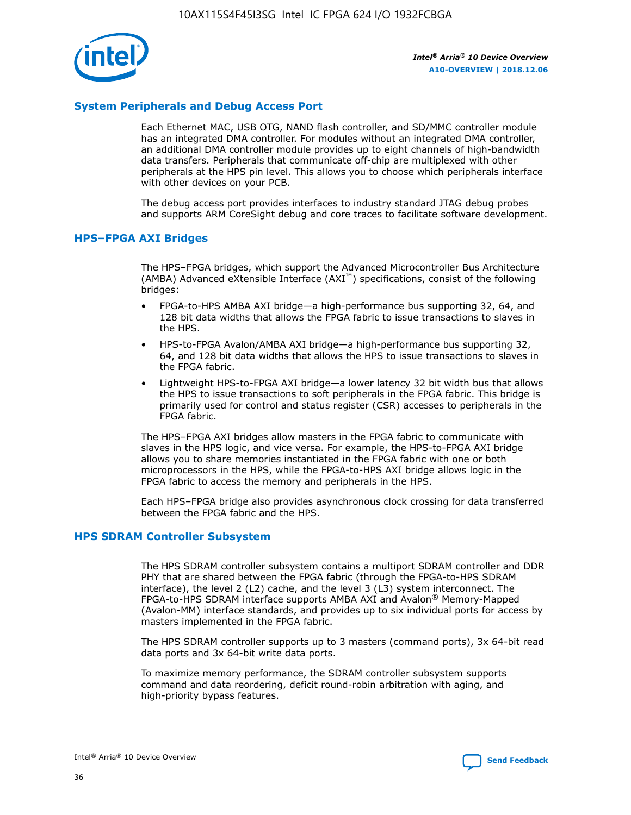

### **System Peripherals and Debug Access Port**

Each Ethernet MAC, USB OTG, NAND flash controller, and SD/MMC controller module has an integrated DMA controller. For modules without an integrated DMA controller, an additional DMA controller module provides up to eight channels of high-bandwidth data transfers. Peripherals that communicate off-chip are multiplexed with other peripherals at the HPS pin level. This allows you to choose which peripherals interface with other devices on your PCB.

The debug access port provides interfaces to industry standard JTAG debug probes and supports ARM CoreSight debug and core traces to facilitate software development.

#### **HPS–FPGA AXI Bridges**

The HPS–FPGA bridges, which support the Advanced Microcontroller Bus Architecture (AMBA) Advanced eXtensible Interface (AXI™) specifications, consist of the following bridges:

- FPGA-to-HPS AMBA AXI bridge—a high-performance bus supporting 32, 64, and 128 bit data widths that allows the FPGA fabric to issue transactions to slaves in the HPS.
- HPS-to-FPGA Avalon/AMBA AXI bridge—a high-performance bus supporting 32, 64, and 128 bit data widths that allows the HPS to issue transactions to slaves in the FPGA fabric.
- Lightweight HPS-to-FPGA AXI bridge—a lower latency 32 bit width bus that allows the HPS to issue transactions to soft peripherals in the FPGA fabric. This bridge is primarily used for control and status register (CSR) accesses to peripherals in the FPGA fabric.

The HPS–FPGA AXI bridges allow masters in the FPGA fabric to communicate with slaves in the HPS logic, and vice versa. For example, the HPS-to-FPGA AXI bridge allows you to share memories instantiated in the FPGA fabric with one or both microprocessors in the HPS, while the FPGA-to-HPS AXI bridge allows logic in the FPGA fabric to access the memory and peripherals in the HPS.

Each HPS–FPGA bridge also provides asynchronous clock crossing for data transferred between the FPGA fabric and the HPS.

#### **HPS SDRAM Controller Subsystem**

The HPS SDRAM controller subsystem contains a multiport SDRAM controller and DDR PHY that are shared between the FPGA fabric (through the FPGA-to-HPS SDRAM interface), the level 2 (L2) cache, and the level 3 (L3) system interconnect. The FPGA-to-HPS SDRAM interface supports AMBA AXI and Avalon® Memory-Mapped (Avalon-MM) interface standards, and provides up to six individual ports for access by masters implemented in the FPGA fabric.

The HPS SDRAM controller supports up to 3 masters (command ports), 3x 64-bit read data ports and 3x 64-bit write data ports.

To maximize memory performance, the SDRAM controller subsystem supports command and data reordering, deficit round-robin arbitration with aging, and high-priority bypass features.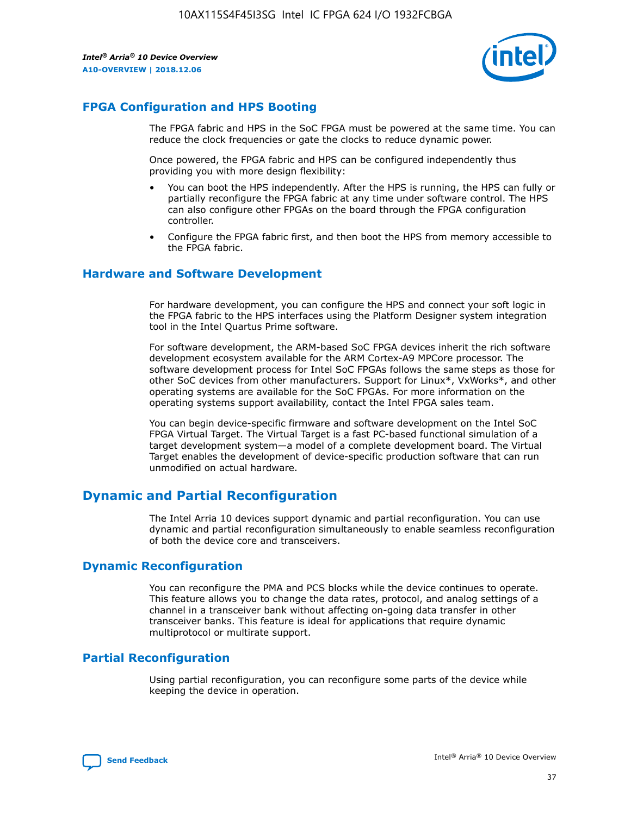

### **FPGA Configuration and HPS Booting**

The FPGA fabric and HPS in the SoC FPGA must be powered at the same time. You can reduce the clock frequencies or gate the clocks to reduce dynamic power.

Once powered, the FPGA fabric and HPS can be configured independently thus providing you with more design flexibility:

- You can boot the HPS independently. After the HPS is running, the HPS can fully or partially reconfigure the FPGA fabric at any time under software control. The HPS can also configure other FPGAs on the board through the FPGA configuration controller.
- Configure the FPGA fabric first, and then boot the HPS from memory accessible to the FPGA fabric.

### **Hardware and Software Development**

For hardware development, you can configure the HPS and connect your soft logic in the FPGA fabric to the HPS interfaces using the Platform Designer system integration tool in the Intel Quartus Prime software.

For software development, the ARM-based SoC FPGA devices inherit the rich software development ecosystem available for the ARM Cortex-A9 MPCore processor. The software development process for Intel SoC FPGAs follows the same steps as those for other SoC devices from other manufacturers. Support for Linux\*, VxWorks\*, and other operating systems are available for the SoC FPGAs. For more information on the operating systems support availability, contact the Intel FPGA sales team.

You can begin device-specific firmware and software development on the Intel SoC FPGA Virtual Target. The Virtual Target is a fast PC-based functional simulation of a target development system—a model of a complete development board. The Virtual Target enables the development of device-specific production software that can run unmodified on actual hardware.

### **Dynamic and Partial Reconfiguration**

The Intel Arria 10 devices support dynamic and partial reconfiguration. You can use dynamic and partial reconfiguration simultaneously to enable seamless reconfiguration of both the device core and transceivers.

### **Dynamic Reconfiguration**

You can reconfigure the PMA and PCS blocks while the device continues to operate. This feature allows you to change the data rates, protocol, and analog settings of a channel in a transceiver bank without affecting on-going data transfer in other transceiver banks. This feature is ideal for applications that require dynamic multiprotocol or multirate support.

### **Partial Reconfiguration**

Using partial reconfiguration, you can reconfigure some parts of the device while keeping the device in operation.

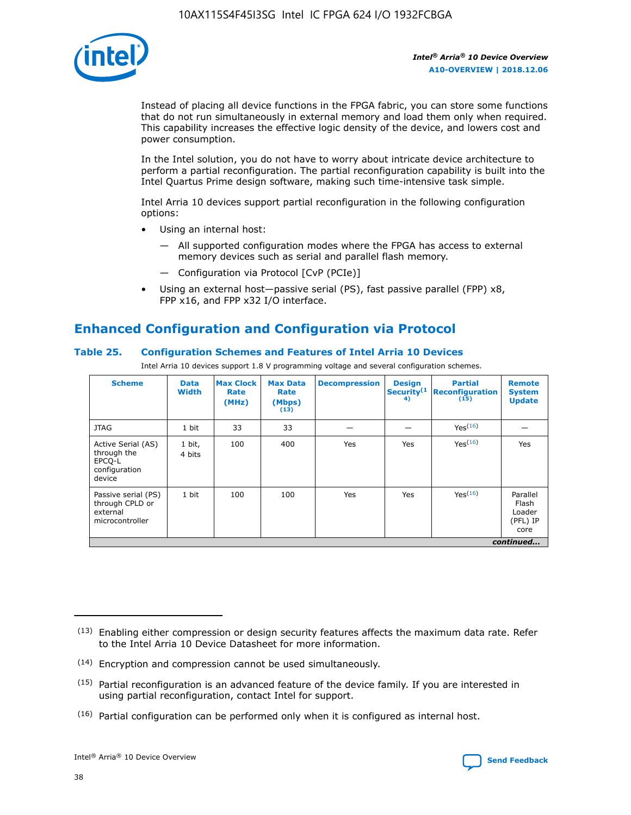

Instead of placing all device functions in the FPGA fabric, you can store some functions that do not run simultaneously in external memory and load them only when required. This capability increases the effective logic density of the device, and lowers cost and power consumption.

In the Intel solution, you do not have to worry about intricate device architecture to perform a partial reconfiguration. The partial reconfiguration capability is built into the Intel Quartus Prime design software, making such time-intensive task simple.

Intel Arria 10 devices support partial reconfiguration in the following configuration options:

- Using an internal host:
	- All supported configuration modes where the FPGA has access to external memory devices such as serial and parallel flash memory.
	- Configuration via Protocol [CvP (PCIe)]
- Using an external host—passive serial (PS), fast passive parallel (FPP) x8, FPP x16, and FPP x32 I/O interface.

### **Enhanced Configuration and Configuration via Protocol**

### **Table 25. Configuration Schemes and Features of Intel Arria 10 Devices**

Intel Arria 10 devices support 1.8 V programming voltage and several configuration schemes.

| <b>Scheme</b>                                                          | <b>Data</b><br><b>Width</b> | <b>Max Clock</b><br>Rate<br>(MHz) | <b>Max Data</b><br>Rate<br>(Mbps)<br>(13) | <b>Decompression</b> | <b>Design</b><br>Security <sup>(1</sup><br>4) | <b>Partial</b><br><b>Reconfiguration</b><br>(15) | <b>Remote</b><br><b>System</b><br><b>Update</b> |
|------------------------------------------------------------------------|-----------------------------|-----------------------------------|-------------------------------------------|----------------------|-----------------------------------------------|--------------------------------------------------|-------------------------------------------------|
| <b>JTAG</b>                                                            | 1 bit                       | 33                                | 33                                        |                      |                                               | Yes(16)                                          |                                                 |
| Active Serial (AS)<br>through the<br>EPCO-L<br>configuration<br>device | 1 bit,<br>4 bits            | 100                               | 400                                       | Yes                  | Yes                                           | $Y_{PS}(16)$                                     | Yes                                             |
| Passive serial (PS)<br>through CPLD or<br>external<br>microcontroller  | 1 bit                       | 100                               | 100                                       | Yes                  | Yes                                           | Yes(16)                                          | Parallel<br>Flash<br>Loader<br>(PFL) IP<br>core |
|                                                                        |                             |                                   |                                           |                      |                                               |                                                  | continued                                       |

<sup>(13)</sup> Enabling either compression or design security features affects the maximum data rate. Refer to the Intel Arria 10 Device Datasheet for more information.

<sup>(14)</sup> Encryption and compression cannot be used simultaneously.

 $(15)$  Partial reconfiguration is an advanced feature of the device family. If you are interested in using partial reconfiguration, contact Intel for support.

 $(16)$  Partial configuration can be performed only when it is configured as internal host.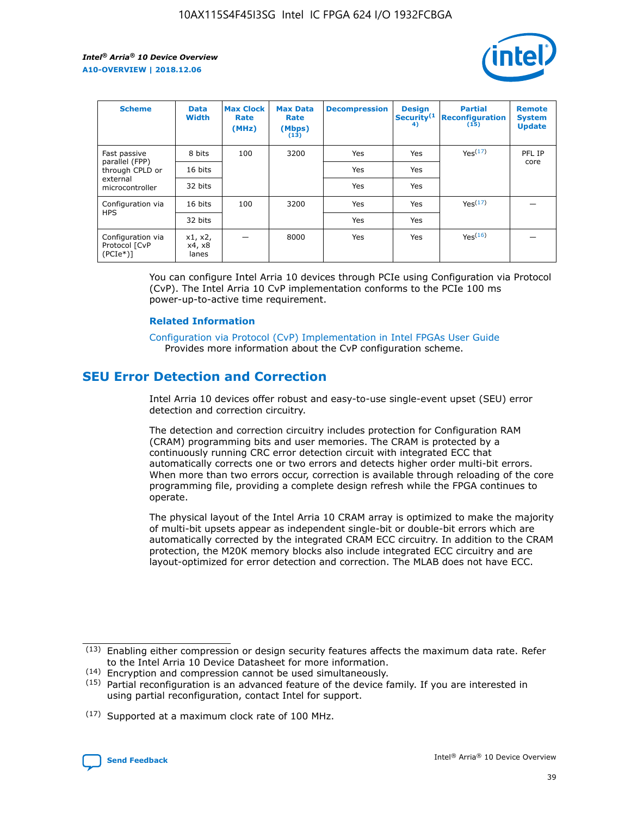

| <b>Scheme</b>                                   | <b>Data</b><br><b>Width</b> | <b>Max Clock</b><br>Rate<br>(MHz) | <b>Max Data</b><br>Rate<br>(Mbps)<br>(13) | <b>Decompression</b> | <b>Design</b><br>Security <sup>(1</sup><br>4) | <b>Partial</b><br><b>Reconfiguration</b><br>(15) | <b>Remote</b><br><b>System</b><br><b>Update</b> |
|-------------------------------------------------|-----------------------------|-----------------------------------|-------------------------------------------|----------------------|-----------------------------------------------|--------------------------------------------------|-------------------------------------------------|
| Fast passive                                    | 8 bits                      | 100                               | 3200                                      | Yes                  | Yes                                           | Yes(17)                                          | PFL IP                                          |
| parallel (FPP)<br>through CPLD or               | 16 bits                     |                                   |                                           | Yes                  | Yes                                           |                                                  | core                                            |
| external<br>microcontroller                     | 32 bits                     |                                   |                                           | Yes                  | Yes                                           |                                                  |                                                 |
| Configuration via                               | 16 bits                     | 100                               | 3200                                      | Yes                  | Yes                                           | Yes <sup>(17)</sup>                              |                                                 |
| <b>HPS</b>                                      | 32 bits                     |                                   |                                           | Yes                  | Yes                                           |                                                  |                                                 |
| Configuration via<br>Protocol [CvP<br>$(PCIe*)$ | x1, x2,<br>x4, x8<br>lanes  |                                   | 8000                                      | Yes                  | Yes                                           | Yes <sup>(16)</sup>                              |                                                 |

You can configure Intel Arria 10 devices through PCIe using Configuration via Protocol (CvP). The Intel Arria 10 CvP implementation conforms to the PCIe 100 ms power-up-to-active time requirement.

#### **Related Information**

[Configuration via Protocol \(CvP\) Implementation in Intel FPGAs User Guide](https://www.intel.com/content/www/us/en/programmable/documentation/dsu1441819344145.html#dsu1442269728522) Provides more information about the CvP configuration scheme.

### **SEU Error Detection and Correction**

Intel Arria 10 devices offer robust and easy-to-use single-event upset (SEU) error detection and correction circuitry.

The detection and correction circuitry includes protection for Configuration RAM (CRAM) programming bits and user memories. The CRAM is protected by a continuously running CRC error detection circuit with integrated ECC that automatically corrects one or two errors and detects higher order multi-bit errors. When more than two errors occur, correction is available through reloading of the core programming file, providing a complete design refresh while the FPGA continues to operate.

The physical layout of the Intel Arria 10 CRAM array is optimized to make the majority of multi-bit upsets appear as independent single-bit or double-bit errors which are automatically corrected by the integrated CRAM ECC circuitry. In addition to the CRAM protection, the M20K memory blocks also include integrated ECC circuitry and are layout-optimized for error detection and correction. The MLAB does not have ECC.

(14) Encryption and compression cannot be used simultaneously.

<sup>(17)</sup> Supported at a maximum clock rate of 100 MHz.



 $(13)$  Enabling either compression or design security features affects the maximum data rate. Refer to the Intel Arria 10 Device Datasheet for more information.

 $(15)$  Partial reconfiguration is an advanced feature of the device family. If you are interested in using partial reconfiguration, contact Intel for support.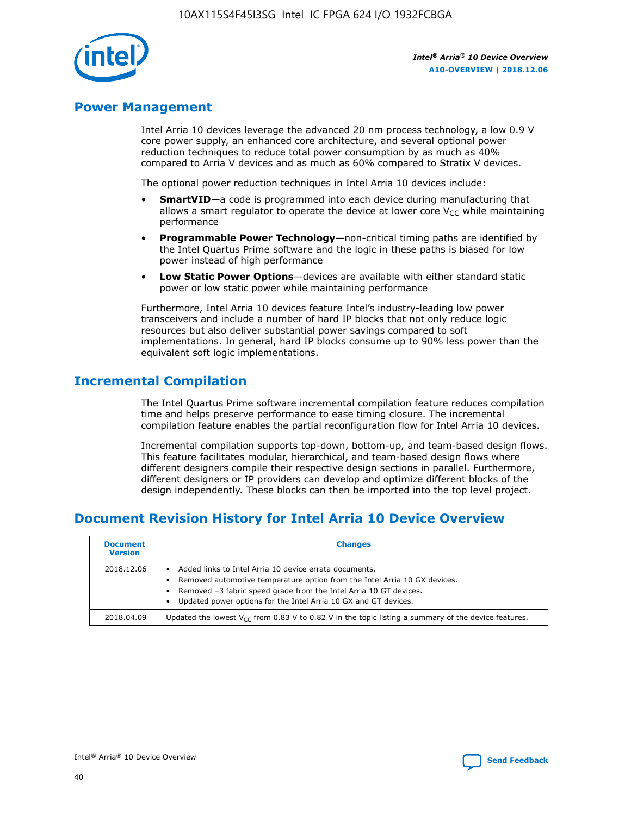

### **Power Management**

Intel Arria 10 devices leverage the advanced 20 nm process technology, a low 0.9 V core power supply, an enhanced core architecture, and several optional power reduction techniques to reduce total power consumption by as much as 40% compared to Arria V devices and as much as 60% compared to Stratix V devices.

The optional power reduction techniques in Intel Arria 10 devices include:

- **SmartVID**—a code is programmed into each device during manufacturing that allows a smart regulator to operate the device at lower core  $V_{CC}$  while maintaining performance
- **Programmable Power Technology**—non-critical timing paths are identified by the Intel Quartus Prime software and the logic in these paths is biased for low power instead of high performance
- **Low Static Power Options**—devices are available with either standard static power or low static power while maintaining performance

Furthermore, Intel Arria 10 devices feature Intel's industry-leading low power transceivers and include a number of hard IP blocks that not only reduce logic resources but also deliver substantial power savings compared to soft implementations. In general, hard IP blocks consume up to 90% less power than the equivalent soft logic implementations.

### **Incremental Compilation**

The Intel Quartus Prime software incremental compilation feature reduces compilation time and helps preserve performance to ease timing closure. The incremental compilation feature enables the partial reconfiguration flow for Intel Arria 10 devices.

Incremental compilation supports top-down, bottom-up, and team-based design flows. This feature facilitates modular, hierarchical, and team-based design flows where different designers compile their respective design sections in parallel. Furthermore, different designers or IP providers can develop and optimize different blocks of the design independently. These blocks can then be imported into the top level project.

### **Document Revision History for Intel Arria 10 Device Overview**

| <b>Document</b><br><b>Version</b> | <b>Changes</b>                                                                                                                                                                                                                                                              |
|-----------------------------------|-----------------------------------------------------------------------------------------------------------------------------------------------------------------------------------------------------------------------------------------------------------------------------|
| 2018.12.06                        | Added links to Intel Arria 10 device errata documents.<br>Removed automotive temperature option from the Intel Arria 10 GX devices.<br>Removed -3 fabric speed grade from the Intel Arria 10 GT devices.<br>Updated power options for the Intel Arria 10 GX and GT devices. |
| 2018.04.09                        | Updated the lowest $V_{CC}$ from 0.83 V to 0.82 V in the topic listing a summary of the device features.                                                                                                                                                                    |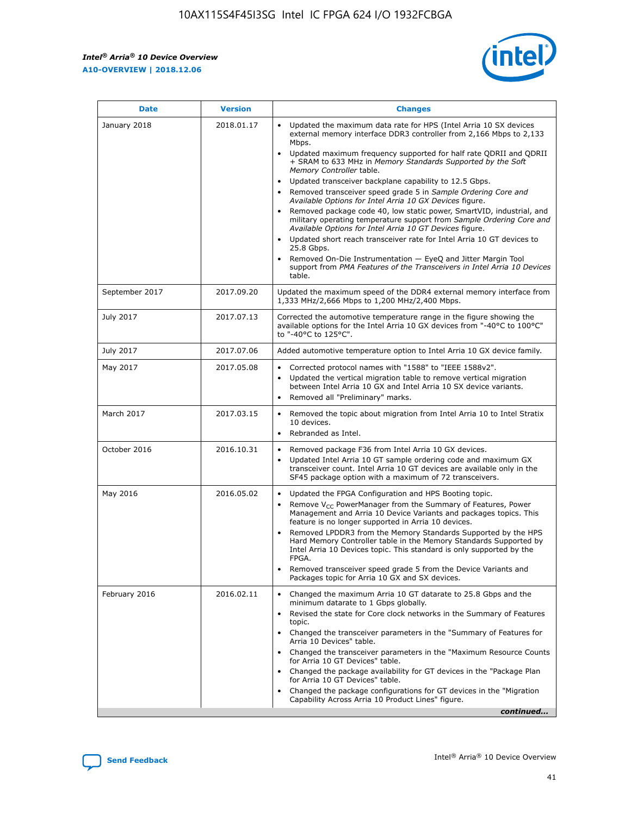*Intel® Arria® 10 Device Overview* **A10-OVERVIEW | 2018.12.06**



| <b>Date</b>    | <b>Version</b> | <b>Changes</b>                                                                                                                                                                                                                                                                                                                                                                                                                                                                                                                                                                                                                                                                                                                                                                                                                                                                                                                                                            |
|----------------|----------------|---------------------------------------------------------------------------------------------------------------------------------------------------------------------------------------------------------------------------------------------------------------------------------------------------------------------------------------------------------------------------------------------------------------------------------------------------------------------------------------------------------------------------------------------------------------------------------------------------------------------------------------------------------------------------------------------------------------------------------------------------------------------------------------------------------------------------------------------------------------------------------------------------------------------------------------------------------------------------|
| January 2018   | 2018.01.17     | Updated the maximum data rate for HPS (Intel Arria 10 SX devices<br>external memory interface DDR3 controller from 2,166 Mbps to 2,133<br>Mbps.<br>Updated maximum frequency supported for half rate QDRII and QDRII<br>+ SRAM to 633 MHz in Memory Standards Supported by the Soft<br>Memory Controller table.<br>Updated transceiver backplane capability to 12.5 Gbps.<br>$\bullet$<br>Removed transceiver speed grade 5 in Sample Ordering Core and<br>Available Options for Intel Arria 10 GX Devices figure.<br>Removed package code 40, low static power, SmartVID, industrial, and<br>military operating temperature support from Sample Ordering Core and<br>Available Options for Intel Arria 10 GT Devices figure.<br>Updated short reach transceiver rate for Intel Arria 10 GT devices to<br>25.8 Gbps.<br>Removed On-Die Instrumentation - EyeQ and Jitter Margin Tool<br>support from PMA Features of the Transceivers in Intel Arria 10 Devices<br>table. |
| September 2017 | 2017.09.20     | Updated the maximum speed of the DDR4 external memory interface from<br>1,333 MHz/2,666 Mbps to 1,200 MHz/2,400 Mbps.                                                                                                                                                                                                                                                                                                                                                                                                                                                                                                                                                                                                                                                                                                                                                                                                                                                     |
| July 2017      | 2017.07.13     | Corrected the automotive temperature range in the figure showing the<br>available options for the Intel Arria 10 GX devices from "-40°C to 100°C"<br>to "-40°C to 125°C".                                                                                                                                                                                                                                                                                                                                                                                                                                                                                                                                                                                                                                                                                                                                                                                                 |
| July 2017      | 2017.07.06     | Added automotive temperature option to Intel Arria 10 GX device family.                                                                                                                                                                                                                                                                                                                                                                                                                                                                                                                                                                                                                                                                                                                                                                                                                                                                                                   |
| May 2017       | 2017.05.08     | Corrected protocol names with "1588" to "IEEE 1588v2".<br>Updated the vertical migration table to remove vertical migration<br>between Intel Arria 10 GX and Intel Arria 10 SX device variants.<br>Removed all "Preliminary" marks.                                                                                                                                                                                                                                                                                                                                                                                                                                                                                                                                                                                                                                                                                                                                       |
| March 2017     | 2017.03.15     | Removed the topic about migration from Intel Arria 10 to Intel Stratix<br>10 devices.<br>Rebranded as Intel.<br>$\bullet$                                                                                                                                                                                                                                                                                                                                                                                                                                                                                                                                                                                                                                                                                                                                                                                                                                                 |
| October 2016   | 2016.10.31     | Removed package F36 from Intel Arria 10 GX devices.<br>Updated Intel Arria 10 GT sample ordering code and maximum GX<br>$\bullet$<br>transceiver count. Intel Arria 10 GT devices are available only in the<br>SF45 package option with a maximum of 72 transceivers.                                                                                                                                                                                                                                                                                                                                                                                                                                                                                                                                                                                                                                                                                                     |
| May 2016       | 2016.05.02     | Updated the FPGA Configuration and HPS Booting topic.<br>Remove V <sub>CC</sub> PowerManager from the Summary of Features, Power<br>Management and Arria 10 Device Variants and packages topics. This<br>feature is no longer supported in Arria 10 devices.<br>Removed LPDDR3 from the Memory Standards Supported by the HPS<br>Hard Memory Controller table in the Memory Standards Supported by<br>Intel Arria 10 Devices topic. This standard is only supported by the<br>FPGA.<br>Removed transceiver speed grade 5 from the Device Variants and<br>Packages topic for Arria 10 GX and SX devices.                                                                                                                                                                                                                                                                                                                                                                   |
| February 2016  | 2016.02.11     | Changed the maximum Arria 10 GT datarate to 25.8 Gbps and the<br>minimum datarate to 1 Gbps globally.<br>Revised the state for Core clock networks in the Summary of Features<br>$\bullet$<br>topic.<br>Changed the transceiver parameters in the "Summary of Features for<br>Arria 10 Devices" table.<br>• Changed the transceiver parameters in the "Maximum Resource Counts<br>for Arria 10 GT Devices" table.<br>• Changed the package availability for GT devices in the "Package Plan<br>for Arria 10 GT Devices" table.<br>Changed the package configurations for GT devices in the "Migration"<br>Capability Across Arria 10 Product Lines" figure.<br>continued                                                                                                                                                                                                                                                                                                  |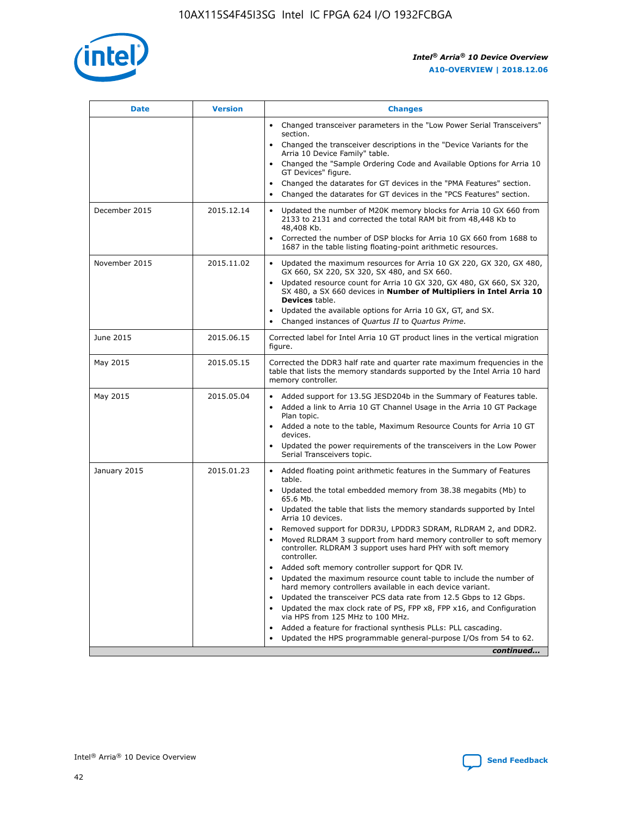

| <b>Date</b>   | <b>Version</b> | <b>Changes</b>                                                                                                                                                               |
|---------------|----------------|------------------------------------------------------------------------------------------------------------------------------------------------------------------------------|
|               |                | • Changed transceiver parameters in the "Low Power Serial Transceivers"<br>section.                                                                                          |
|               |                | • Changed the transceiver descriptions in the "Device Variants for the<br>Arria 10 Device Family" table.                                                                     |
|               |                | Changed the "Sample Ordering Code and Available Options for Arria 10<br>$\bullet$<br>GT Devices" figure.                                                                     |
|               |                | Changed the datarates for GT devices in the "PMA Features" section.                                                                                                          |
|               |                | Changed the datarates for GT devices in the "PCS Features" section.<br>$\bullet$                                                                                             |
| December 2015 | 2015.12.14     | Updated the number of M20K memory blocks for Arria 10 GX 660 from<br>2133 to 2131 and corrected the total RAM bit from 48,448 Kb to<br>48,408 Kb.                            |
|               |                | Corrected the number of DSP blocks for Arria 10 GX 660 from 1688 to<br>1687 in the table listing floating-point arithmetic resources.                                        |
| November 2015 | 2015.11.02     | Updated the maximum resources for Arria 10 GX 220, GX 320, GX 480,<br>$\bullet$<br>GX 660, SX 220, SX 320, SX 480, and SX 660.                                               |
|               |                | • Updated resource count for Arria 10 GX 320, GX 480, GX 660, SX 320,<br>SX 480, a SX 660 devices in Number of Multipliers in Intel Arria 10<br><b>Devices</b> table.        |
|               |                | Updated the available options for Arria 10 GX, GT, and SX.                                                                                                                   |
|               |                | Changed instances of Quartus II to Quartus Prime.<br>$\bullet$                                                                                                               |
| June 2015     | 2015.06.15     | Corrected label for Intel Arria 10 GT product lines in the vertical migration<br>figure.                                                                                     |
| May 2015      | 2015.05.15     | Corrected the DDR3 half rate and quarter rate maximum frequencies in the<br>table that lists the memory standards supported by the Intel Arria 10 hard<br>memory controller. |
| May 2015      | 2015.05.04     | • Added support for 13.5G JESD204b in the Summary of Features table.<br>• Added a link to Arria 10 GT Channel Usage in the Arria 10 GT Package<br>Plan topic.                |
|               |                | • Added a note to the table, Maximum Resource Counts for Arria 10 GT<br>devices.                                                                                             |
|               |                | • Updated the power requirements of the transceivers in the Low Power<br>Serial Transceivers topic.                                                                          |
| January 2015  | 2015.01.23     | • Added floating point arithmetic features in the Summary of Features<br>table.                                                                                              |
|               |                | • Updated the total embedded memory from 38.38 megabits (Mb) to<br>65.6 Mb.                                                                                                  |
|               |                | • Updated the table that lists the memory standards supported by Intel<br>Arria 10 devices.                                                                                  |
|               |                | Removed support for DDR3U, LPDDR3 SDRAM, RLDRAM 2, and DDR2.                                                                                                                 |
|               |                | Moved RLDRAM 3 support from hard memory controller to soft memory<br>controller. RLDRAM 3 support uses hard PHY with soft memory<br>controller.                              |
|               |                | Added soft memory controller support for QDR IV.<br>٠                                                                                                                        |
|               |                | Updated the maximum resource count table to include the number of<br>hard memory controllers available in each device variant.                                               |
|               |                | Updated the transceiver PCS data rate from 12.5 Gbps to 12 Gbps.<br>$\bullet$                                                                                                |
|               |                | Updated the max clock rate of PS, FPP x8, FPP x16, and Configuration<br>via HPS from 125 MHz to 100 MHz.                                                                     |
|               |                | Added a feature for fractional synthesis PLLs: PLL cascading.                                                                                                                |
|               |                | Updated the HPS programmable general-purpose I/Os from 54 to 62.<br>$\bullet$<br>continued                                                                                   |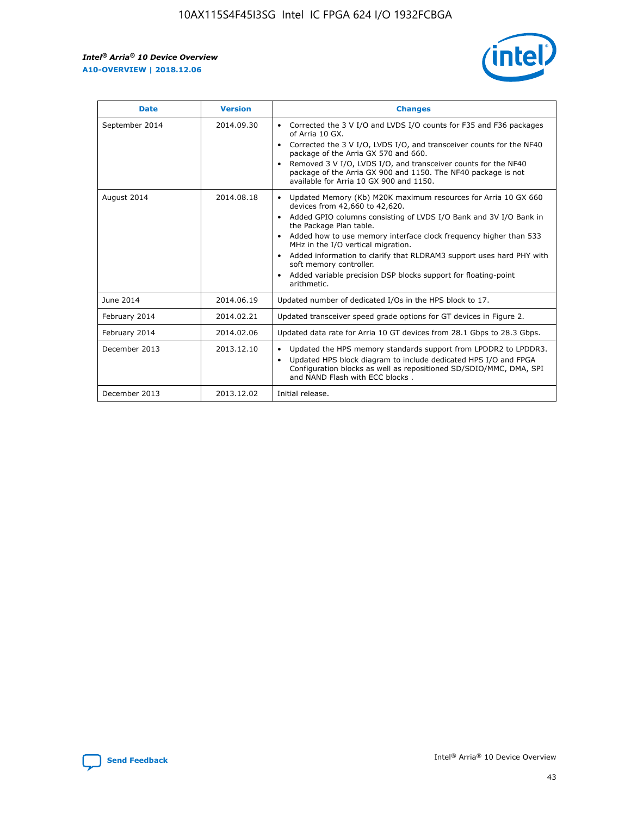r



| <b>Date</b>    | <b>Version</b> | <b>Changes</b>                                                                                                                                                                                                                                                                                                                                                                                                                                                                                                                                      |
|----------------|----------------|-----------------------------------------------------------------------------------------------------------------------------------------------------------------------------------------------------------------------------------------------------------------------------------------------------------------------------------------------------------------------------------------------------------------------------------------------------------------------------------------------------------------------------------------------------|
| September 2014 | 2014.09.30     | Corrected the 3 V I/O and LVDS I/O counts for F35 and F36 packages<br>$\bullet$<br>of Arria 10 GX.<br>Corrected the 3 V I/O, LVDS I/O, and transceiver counts for the NF40<br>$\bullet$<br>package of the Arria GX 570 and 660.<br>Removed 3 V I/O, LVDS I/O, and transceiver counts for the NF40<br>package of the Arria GX 900 and 1150. The NF40 package is not<br>available for Arria 10 GX 900 and 1150.                                                                                                                                       |
| August 2014    | 2014.08.18     | Updated Memory (Kb) M20K maximum resources for Arria 10 GX 660<br>devices from 42,660 to 42,620.<br>Added GPIO columns consisting of LVDS I/O Bank and 3V I/O Bank in<br>$\bullet$<br>the Package Plan table.<br>Added how to use memory interface clock frequency higher than 533<br>$\bullet$<br>MHz in the I/O vertical migration.<br>Added information to clarify that RLDRAM3 support uses hard PHY with<br>$\bullet$<br>soft memory controller.<br>Added variable precision DSP blocks support for floating-point<br>$\bullet$<br>arithmetic. |
| June 2014      | 2014.06.19     | Updated number of dedicated I/Os in the HPS block to 17.                                                                                                                                                                                                                                                                                                                                                                                                                                                                                            |
| February 2014  | 2014.02.21     | Updated transceiver speed grade options for GT devices in Figure 2.                                                                                                                                                                                                                                                                                                                                                                                                                                                                                 |
| February 2014  | 2014.02.06     | Updated data rate for Arria 10 GT devices from 28.1 Gbps to 28.3 Gbps.                                                                                                                                                                                                                                                                                                                                                                                                                                                                              |
| December 2013  | 2013.12.10     | Updated the HPS memory standards support from LPDDR2 to LPDDR3.<br>Updated HPS block diagram to include dedicated HPS I/O and FPGA<br>$\bullet$<br>Configuration blocks as well as repositioned SD/SDIO/MMC, DMA, SPI<br>and NAND Flash with ECC blocks.                                                                                                                                                                                                                                                                                            |
| December 2013  | 2013.12.02     | Initial release.                                                                                                                                                                                                                                                                                                                                                                                                                                                                                                                                    |